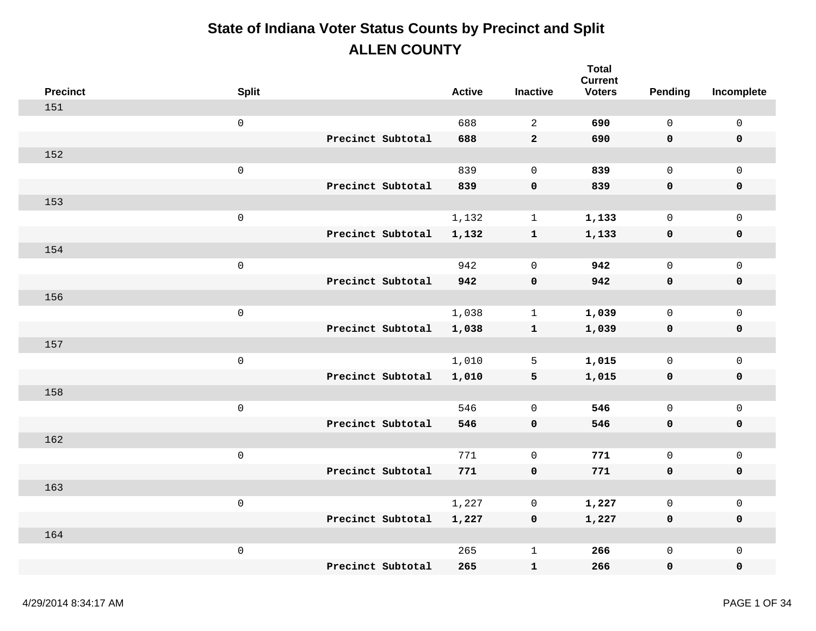| <b>Precinct</b> | <b>Split</b>        |                   | <b>Active</b> | <b>Inactive</b> | <b>Total</b><br><b>Current</b><br><b>Voters</b> | Pending      | Incomplete          |
|-----------------|---------------------|-------------------|---------------|-----------------|-------------------------------------------------|--------------|---------------------|
| 151             |                     |                   |               |                 |                                                 |              |                     |
|                 | $\mathsf{O}\xspace$ |                   | 688           | $\overline{a}$  | 690                                             | $\mathbf 0$  | $\mathsf{O}\xspace$ |
|                 |                     | Precinct Subtotal | 688           | $\overline{a}$  | 690                                             | 0            | $\pmb{0}$           |
| 152             |                     |                   |               |                 |                                                 |              |                     |
|                 | $\mathsf{O}\xspace$ |                   | 839           | $\mathbf 0$     | 839                                             | $\mathsf{O}$ | $\mathbf 0$         |
|                 |                     | Precinct Subtotal | 839           | $\mathbf 0$     | 839                                             | 0            | $\pmb{0}$           |
| 153             |                     |                   |               |                 |                                                 |              |                     |
|                 | $\mathbf 0$         |                   | 1,132         | $\mathbf{1}$    | 1,133                                           | $\mathbf 0$  | $\mathbf 0$         |
|                 |                     | Precinct Subtotal | 1,132         | ${\bf 1}$       | 1,133                                           | 0            | $\pmb{0}$           |
| 154             |                     |                   |               |                 |                                                 |              |                     |
|                 | $\mathsf{O}$        |                   | 942           | $\mathbf 0$     | 942                                             | $\mathsf{O}$ | $\mathbf 0$         |
|                 |                     | Precinct Subtotal | 942           | $\pmb{0}$       | 942                                             | 0            | $\pmb{0}$           |
| 156             |                     |                   |               |                 |                                                 |              |                     |
|                 | $\mathsf 0$         |                   | 1,038         | $\mathbf 1$     | 1,039                                           | $\mathsf{O}$ | $\mathsf{O}$        |
|                 |                     | Precinct Subtotal | 1,038         | $\mathbf{1}$    | 1,039                                           | 0            | $\pmb{0}$           |
| 157             |                     |                   |               |                 |                                                 |              |                     |
|                 | $\mathsf{O}\xspace$ |                   | 1,010         | 5               | 1,015                                           | $\mathsf{O}$ | $\mathsf{O}$        |
|                 |                     | Precinct Subtotal | 1,010         | 5               | 1,015                                           | 0            | $\pmb{0}$           |
| 158             |                     |                   |               |                 |                                                 |              |                     |
|                 | $\mathsf 0$         |                   | 546           | $\mathbf 0$     | 546                                             | $\mathsf{O}$ | $\mathsf{O}\xspace$ |
|                 |                     | Precinct Subtotal | 546           | $\mathbf 0$     | 546                                             | 0            | $\mathbf 0$         |
| 162             |                     |                   |               |                 |                                                 |              |                     |
|                 | $\mathsf{O}\xspace$ |                   | 771           | $\mathbf 0$     | 771                                             | $\mathsf{O}$ | $\mathsf{O}\xspace$ |
|                 |                     | Precinct Subtotal | 771           | $\pmb{0}$       | 771                                             | 0            | $\pmb{0}$           |
| 163             |                     |                   |               |                 |                                                 |              |                     |
|                 | $\mathsf 0$         |                   | 1,227         | $\mathsf{O}$    | 1,227                                           | $\mathsf{O}$ | $\mathsf{O}\xspace$ |
|                 |                     | Precinct Subtotal | 1,227         | 0               | 1,227                                           | 0            | $\mathbf 0$         |
| 164             |                     |                   |               |                 |                                                 |              |                     |
|                 | $\,0\,$             |                   | 265           | $\mathbf 1$     | 266                                             | 0            | $\mathsf{O}\xspace$ |
|                 |                     | Precinct Subtotal | 265           | $\mathbf{1}$    | 266                                             | 0            | $\mathbf 0$         |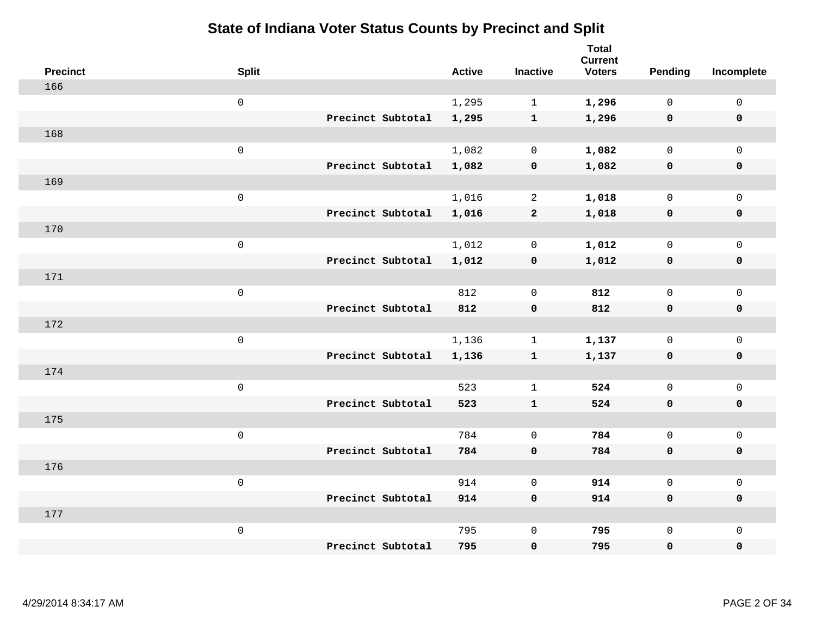| <b>Precinct</b> | <b>Split</b>        |                   | <b>Active</b> | <b>Inactive</b> | <b>Total</b><br><b>Current</b><br><b>Voters</b> | <b>Pending</b> | Incomplete          |
|-----------------|---------------------|-------------------|---------------|-----------------|-------------------------------------------------|----------------|---------------------|
| 166             |                     |                   |               |                 |                                                 |                |                     |
|                 | $\mathsf 0$         |                   | 1,295         | $\mathbf 1$     | 1,296                                           | $\mathbf 0$    | $\mathsf{O}\xspace$ |
|                 |                     | Precinct Subtotal | 1,295         | $\mathbf{1}$    | 1,296                                           | $\mathbf 0$    | $\mathbf 0$         |
| 168             |                     |                   |               |                 |                                                 |                |                     |
|                 | $\mathsf 0$         |                   | 1,082         | $\mathbf 0$     | 1,082                                           | $\mathbf 0$    | $\mathsf{O}$        |
|                 |                     | Precinct Subtotal | 1,082         | $\pmb{0}$       | 1,082                                           | $\mathbf 0$    | 0                   |
| 169             |                     |                   |               |                 |                                                 |                |                     |
|                 | $\mathsf 0$         |                   | 1,016         | $\overline{2}$  | 1,018                                           | $\mathbf 0$    | $\mathsf{O}\xspace$ |
|                 |                     | Precinct Subtotal | 1,016         | $\mathbf{2}$    | 1,018                                           | $\mathbf 0$    | $\pmb{0}$           |
| 170             |                     |                   |               |                 |                                                 |                |                     |
|                 | $\mathsf{O}\xspace$ |                   | 1,012         | $\mathsf{O}$    | 1,012                                           | $\mathsf{O}$   | $\mathsf{O}$        |
|                 |                     | Precinct Subtotal | 1,012         | $\pmb{0}$       | 1,012                                           | $\mathbf 0$    | 0                   |
| 171             |                     |                   |               |                 |                                                 |                |                     |
|                 | $\mathsf 0$         |                   | 812           | $\mathbf 0$     | 812                                             | $\mathbf 0$    | $\mathsf{O}\xspace$ |
|                 |                     | Precinct Subtotal | 812           | $\pmb{0}$       | 812                                             | 0              | 0                   |
| 172             |                     |                   |               |                 |                                                 |                |                     |
|                 | $\mathsf{O}\xspace$ |                   | 1,136         | $\mathbf 1$     | 1,137                                           | $\mathbf 0$    | $\mathsf{O}\xspace$ |
|                 |                     | Precinct Subtotal | 1,136         | ${\bf 1}$       | 1,137                                           | $\mathbf 0$    | 0                   |
| 174             |                     |                   |               |                 |                                                 |                |                     |
|                 | $\mathsf{O}\xspace$ |                   | 523           | $\mathbf 1$     | 524                                             | $\mathbf 0$    | $\mathsf{O}$        |
|                 |                     | Precinct Subtotal | 523           | $\mathbf{1}$    | 524                                             | 0              | 0                   |
| 175             |                     |                   |               |                 |                                                 |                |                     |
|                 | $\mathsf{O}\xspace$ |                   | 784           | $\mathbf 0$     | 784                                             | $\mathsf{O}$   | $\mathsf{O}\xspace$ |
|                 |                     | Precinct Subtotal | 784           | $\pmb{0}$       | 784                                             | 0              | 0                   |
| 176             |                     |                   |               |                 |                                                 |                |                     |
|                 | $\mathsf 0$         |                   | 914           | $\mathbf 0$     | 914                                             | $\mathbf{0}$   | $\mathsf{O}$        |
|                 |                     | Precinct Subtotal | 914           | $\mathbf 0$     | 914                                             | 0              | 0                   |
| 177             |                     |                   |               |                 |                                                 |                |                     |
|                 | $\mathsf{O}\xspace$ |                   | 795           | $\mathsf 0$     | 795                                             | $\mathsf{O}$   | $\mathsf{O}$        |
|                 |                     | Precinct Subtotal | 795           | 0               | 795                                             | 0              | 0                   |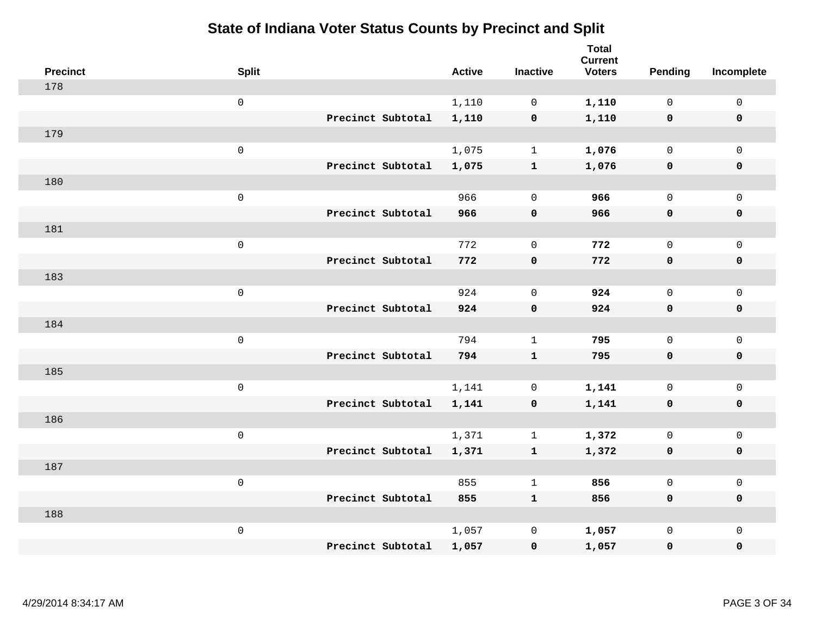| <b>Precinct</b> | <b>Split</b>        |                   | <b>Active</b> | <b>Inactive</b>     | Total<br><b>Current</b><br><b>Voters</b> | <b>Pending</b> | Incomplete   |
|-----------------|---------------------|-------------------|---------------|---------------------|------------------------------------------|----------------|--------------|
| 178             |                     |                   |               |                     |                                          |                |              |
|                 | $\mathbf 0$         |                   | 1,110         | $\mathbf 0$         | 1,110                                    | $\mathbf{0}$   | $\mathsf{O}$ |
|                 |                     | Precinct Subtotal | 1,110         | $\mathbf 0$         | 1,110                                    | $\mathbf 0$    | $\mathbf 0$  |
| 179             |                     |                   |               |                     |                                          |                |              |
|                 | $\mathsf{O}\xspace$ |                   | 1,075         | $\mathbf{1}$        | 1,076                                    | $\mathsf{O}$   | $\mathbf 0$  |
|                 |                     | Precinct Subtotal | 1,075         | $\mathbf{1}$        | 1,076                                    | $\mathbf 0$    | $\mathbf 0$  |
| 180             |                     |                   |               |                     |                                          |                |              |
|                 | $\mathsf{O}\xspace$ |                   | 966           | $\mathbf 0$         | 966                                      | $\mathsf{O}$   | $\mathbf 0$  |
|                 |                     | Precinct Subtotal | 966           | $\mathbf 0$         | 966                                      | $\mathbf 0$    | $\mathbf 0$  |
| 181             |                     |                   |               |                     |                                          |                |              |
|                 | $\mathsf{O}\xspace$ |                   | 772           | $\mathbf 0$         | 772                                      | $\mathbf{0}$   | $\mathbf 0$  |
|                 |                     | Precinct Subtotal | 772           | $\mathbf 0$         | 772                                      | $\mathbf 0$    | $\mathbf 0$  |
| 183             |                     |                   |               |                     |                                          |                |              |
|                 | $\mathsf 0$         |                   | 924           | $\mathbf 0$         | 924                                      | $\mathbf{0}$   | $\mathbf 0$  |
|                 |                     | Precinct Subtotal | 924           | $\mathbf 0$         | 924                                      | $\mathbf 0$    | $\mathbf 0$  |
| 184             |                     |                   |               |                     |                                          |                |              |
|                 | $\mathsf 0$         |                   | 794           | $\mathbf{1}$        | 795                                      | $\mathsf{O}$   | $\mathsf{O}$ |
|                 |                     | Precinct Subtotal | 794           | $\mathbf{1}$        | 795                                      | $\mathbf 0$    | $\mathbf 0$  |
| 185             |                     |                   |               |                     |                                          |                |              |
|                 | $\mathsf{O}\xspace$ |                   | 1,141         | 0                   | 1,141                                    | 0              | $\mathsf{O}$ |
|                 |                     | Precinct Subtotal | 1,141         | 0                   | 1,141                                    | 0              | 0            |
| 186             |                     |                   |               |                     |                                          |                |              |
|                 | $\mathsf{O}\xspace$ |                   | 1,371         | $\mathbf{1}$        | 1,372                                    | $\mathsf{O}$   | $\mathsf{O}$ |
|                 |                     | Precinct Subtotal | 1,371         | $\mathbf{1}$        | 1,372                                    | 0              | $\pmb{0}$    |
| 187             |                     |                   |               |                     |                                          |                |              |
|                 | $\mathsf{O}\xspace$ |                   | 855           | $\mathbf{1}$        | 856                                      | $\mathsf{O}$   | $\mathsf{O}$ |
|                 |                     | Precinct Subtotal | 855           | $\mathbf{1}$        | 856                                      | 0              | $\mathbf 0$  |
| 188             |                     |                   |               |                     |                                          |                |              |
|                 | $\mathsf{O}\xspace$ |                   | 1,057         | $\mathsf{O}\xspace$ | 1,057                                    | 0              | $\mathsf{O}$ |
|                 |                     | Precinct Subtotal | 1,057         | $\pmb{0}$           | 1,057                                    | 0              | $\mathbf 0$  |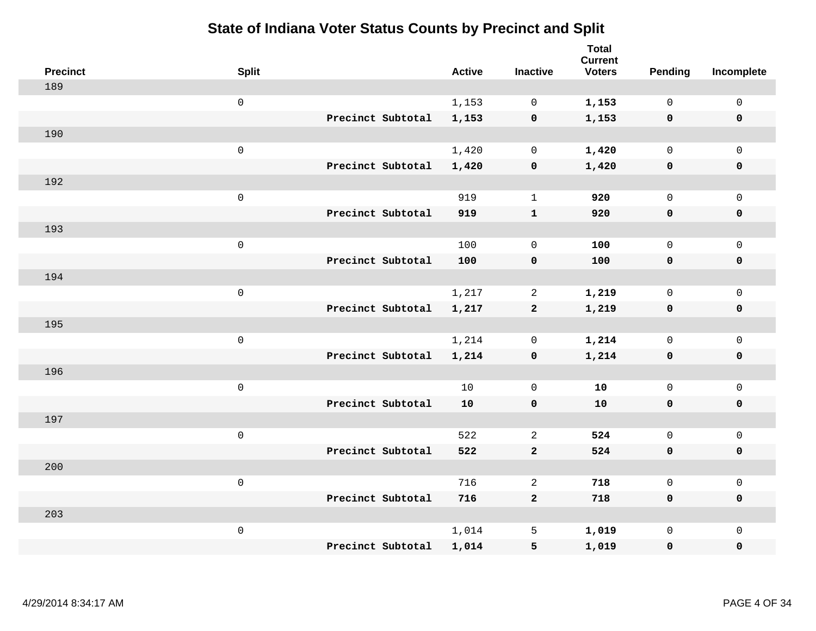| <b>Precinct</b> | <b>Split</b>        |                   | <b>Active</b> | <b>Inactive</b> | <b>Total</b><br><b>Current</b><br><b>Voters</b> | Pending      | Incomplete          |
|-----------------|---------------------|-------------------|---------------|-----------------|-------------------------------------------------|--------------|---------------------|
| 189             |                     |                   |               |                 |                                                 |              |                     |
|                 | $\mathsf{O}\xspace$ |                   | 1,153         | $\mathbf 0$     | 1,153                                           | $\mathbf 0$  | $\mathsf{O}\xspace$ |
|                 |                     | Precinct Subtotal | 1,153         | $\mathbf 0$     | 1,153                                           | $\mathbf 0$  | $\pmb{0}$           |
| 190             |                     |                   |               |                 |                                                 |              |                     |
|                 | $\mathsf{O}\xspace$ |                   | 1,420         | $\mathbf 0$     | 1,420                                           | $\mathbf 0$  | $\mathsf{O}\xspace$ |
|                 |                     | Precinct Subtotal | 1,420         | $\pmb{0}$       | 1,420                                           | $\mathbf 0$  | $\pmb{0}$           |
| 192             |                     |                   |               |                 |                                                 |              |                     |
|                 | $\mathsf{O}\xspace$ |                   | 919           | $\mathbf{1}$    | 920                                             | $\mathbf 0$  | $\mathsf{O}\xspace$ |
|                 |                     | Precinct Subtotal | 919           | $\mathbf{1}$    | 920                                             | 0            | 0                   |
| 193             |                     |                   |               |                 |                                                 |              |                     |
|                 | $\mathsf 0$         |                   | 100           | $\mathbf 0$     | 100                                             | $\mathsf{O}$ | $\mathsf{O}\xspace$ |
|                 |                     | Precinct Subtotal | 100           | $\pmb{0}$       | 100                                             | $\mathbf 0$  | 0                   |
| 194             |                     |                   |               |                 |                                                 |              |                     |
|                 | $\mathsf{O}\xspace$ |                   | 1,217         | $\overline{2}$  | 1,219                                           | $\mathbf 0$  | $\mathsf{O}\xspace$ |
|                 |                     | Precinct Subtotal | 1,217         | $\mathbf{2}$    | 1,219                                           | $\mathbf 0$  | 0                   |
| 195             |                     |                   |               |                 |                                                 |              |                     |
|                 | $\mathsf{O}\xspace$ |                   | 1,214         | $\mathbf 0$     | 1,214                                           | $\mathbf 0$  | $\mathsf{O}\xspace$ |
|                 |                     | Precinct Subtotal | 1,214         | $\pmb{0}$       | 1,214                                           | $\mathbf 0$  | 0                   |
| 196             |                     |                   |               |                 |                                                 |              |                     |
|                 | $\mathsf{O}\xspace$ |                   | 10            | $\mathbf 0$     | 10                                              | $\mathbf{0}$ | $\mathsf{O}$        |
|                 |                     | Precinct Subtotal | 10            | $\mathbf 0$     | 10                                              | 0            | 0                   |
| 197             |                     |                   |               |                 |                                                 |              |                     |
|                 | $\mathsf{O}\xspace$ |                   | 522           | 2               | 524                                             | $\mathbf 0$  | $\mathsf{O}\xspace$ |
|                 |                     | Precinct Subtotal | 522           | $\mathbf{2}$    | 524                                             | 0            | 0                   |
| 200             |                     |                   |               |                 |                                                 |              |                     |
|                 | $\mathsf{O}\xspace$ |                   | 716           | 2               | 718                                             | $\mathbf 0$  | $\mathsf{O}\xspace$ |
|                 |                     | Precinct Subtotal | 716           | $\mathbf{2}$    | 718                                             | 0            | 0                   |
| 203             |                     |                   |               |                 |                                                 |              |                     |
|                 | $\mathsf{O}\xspace$ |                   | 1,014         | 5               | 1,019                                           | $\mathsf{O}$ | $\mathsf{O}$        |
|                 |                     | Precinct Subtotal | 1,014         | 5               | 1,019                                           | 0            | $\pmb{0}$           |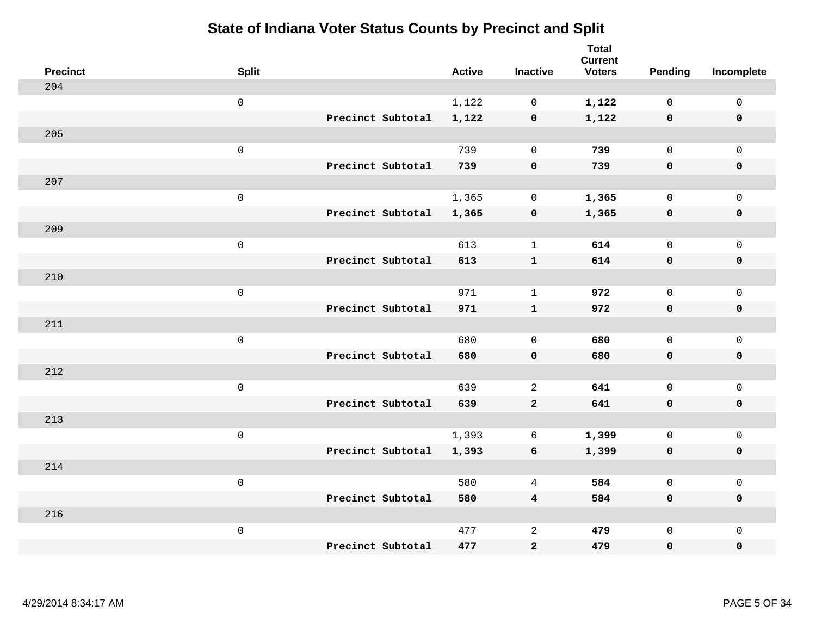| <b>Precinct</b> | <b>Split</b> |                   | <b>Active</b> | <b>Inactive</b>         | <b>Total</b><br><b>Current</b><br><b>Voters</b> | <b>Pending</b> | Incomplete          |
|-----------------|--------------|-------------------|---------------|-------------------------|-------------------------------------------------|----------------|---------------------|
| 204             |              |                   |               |                         |                                                 |                |                     |
|                 | $\mathbf 0$  |                   | 1,122         | $\mathbf 0$             | 1,122                                           | $\mathbf 0$    | $\mathbf 0$         |
|                 |              | Precinct Subtotal | 1,122         | $\pmb{0}$               | 1,122                                           | $\mathbf 0$    | $\mathbf 0$         |
| 205             |              |                   |               |                         |                                                 |                |                     |
|                 | $\mbox{O}$   |                   | 739           | $\mathbf 0$             | 739                                             | $\mathbf 0$    | $\mathbf 0$         |
|                 |              | Precinct Subtotal | 739           | $\mathbf 0$             | 739                                             | $\mathbf 0$    | $\mathbf 0$         |
| 207             |              |                   |               |                         |                                                 |                |                     |
|                 | $\mathsf 0$  |                   | 1,365         | $\mathbf 0$             | 1,365                                           | $\mathbf 0$    | $\mathsf{O}\xspace$ |
|                 |              | Precinct Subtotal | 1,365         | $\pmb{0}$               | 1,365                                           | 0              | $\mathbf 0$         |
| 209             |              |                   |               |                         |                                                 |                |                     |
|                 | $\mathbf 0$  |                   | 613           | $\mathbf{1}$            | 614                                             | $\mathsf{O}$   | $\mathsf{O}\xspace$ |
|                 |              | Precinct Subtotal | 613           | $\mathbf{1}$            | 614                                             | $\mathbf 0$    | $\mathbf 0$         |
| 210             |              |                   |               |                         |                                                 |                |                     |
|                 | $\mathsf 0$  |                   | 971           | $\mathbf{1}$            | 972                                             | $\mathbf 0$    | $\mathbf{0}$        |
|                 |              | Precinct Subtotal | 971           | $\mathbf{1}$            | 972                                             | $\mathbf 0$    | $\mathbf 0$         |
| 211             |              |                   |               |                         |                                                 |                |                     |
|                 | $\mathbf 0$  |                   | 680           | $\mathsf{O}\xspace$     | 680                                             | $\mathsf{O}$   | $\mathbf 0$         |
|                 |              | Precinct Subtotal | 680           | $\pmb{0}$               | 680                                             | 0              | 0                   |
| 212             |              |                   |               |                         |                                                 |                |                     |
|                 | $\mathbf 0$  |                   | 639           | $\overline{2}$          | 641                                             | $\mathbf 0$    | $\mathsf{O}\xspace$ |
|                 |              | Precinct Subtotal | 639           | $\mathbf{2}$            | 641                                             | $\mathbf 0$    | $\pmb{0}$           |
| 213             |              |                   |               |                         |                                                 |                |                     |
|                 | $\mathbf 0$  |                   | 1,393         | 6                       | 1,399                                           | $\mathbf 0$    | $\mathsf{O}\xspace$ |
|                 |              | Precinct Subtotal | 1,393         | $\boldsymbol{6}$        | 1,399                                           | $\mathbf 0$    | $\pmb{0}$           |
| 214             |              |                   |               |                         |                                                 |                |                     |
|                 | $\mathbf 0$  |                   | 580           | 4                       | 584                                             | $\mathbf 0$    | $\mathsf 0$         |
|                 |              | Precinct Subtotal | 580           | $\overline{\mathbf{4}}$ | 584                                             | $\mathbf 0$    | $\mathbf 0$         |
| 216             |              |                   |               |                         |                                                 |                |                     |
|                 | $\mathbf 0$  |                   | 477           | $\sqrt{2}$              | 479                                             | $\mathsf{O}$   | $\mathbf 0$         |
|                 |              | Precinct Subtotal | 477           | $\bf{2}$                | 479                                             | 0              | 0                   |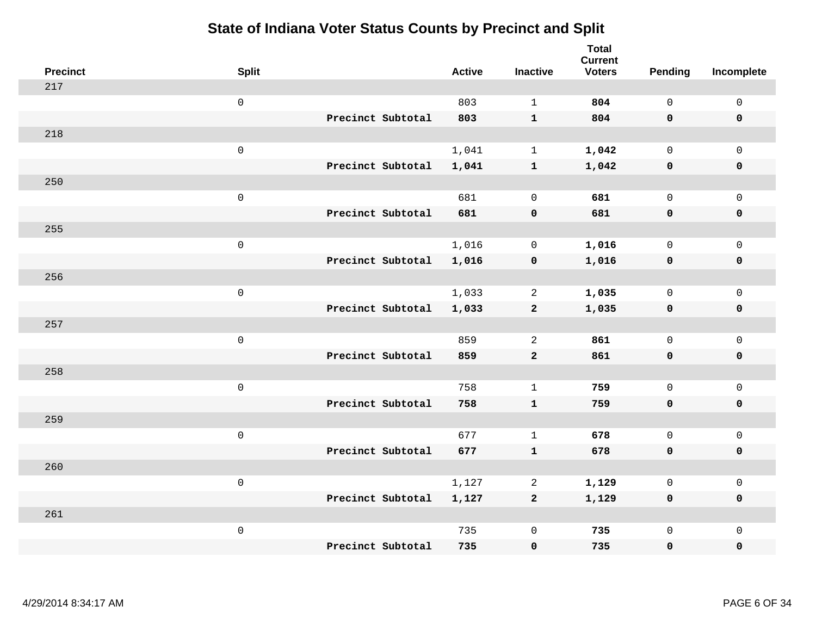| <b>Precinct</b> | <b>Split</b> |                   | <b>Active</b> | <b>Inactive</b>     | <b>Total</b><br><b>Current</b><br><b>Voters</b> | <b>Pending</b> | Incomplete          |
|-----------------|--------------|-------------------|---------------|---------------------|-------------------------------------------------|----------------|---------------------|
| 217             |              |                   |               |                     |                                                 |                |                     |
|                 | $\mathsf 0$  |                   | 803           | $\mathbf{1}$        | 804                                             | $\mathsf{O}$   | $\mathsf 0$         |
|                 |              | Precinct Subtotal | 803           | $\mathbf{1}$        | 804                                             | $\mathbf 0$    | $\mathbf 0$         |
| 218             |              |                   |               |                     |                                                 |                |                     |
|                 | $\mathsf 0$  |                   | 1,041         | $\mathbf{1}$        | 1,042                                           | $\mathsf{O}$   | $\mathbf 0$         |
|                 |              | Precinct Subtotal | 1,041         | $\mathbf{1}$        | 1,042                                           | $\mathbf 0$    | $\mathbf 0$         |
| 250             |              |                   |               |                     |                                                 |                |                     |
|                 | $\mathsf 0$  |                   | 681           | $\mathsf{O}\xspace$ | 681                                             | $\mathsf{O}$   | $\mathbf 0$         |
|                 |              | Precinct Subtotal | 681           | $\pmb{0}$           | 681                                             | $\mathbf 0$    | $\mathbf 0$         |
| 255             |              |                   |               |                     |                                                 |                |                     |
|                 | $\mathsf 0$  |                   | 1,016         | $\mathbf 0$         | 1,016                                           | $\mathsf{O}$   | $\mathbf 0$         |
|                 |              | Precinct Subtotal | 1,016         | $\pmb{0}$           | 1,016                                           | $\mathbf 0$    | $\pmb{0}$           |
| 256             |              |                   |               |                     |                                                 |                |                     |
|                 | $\mathsf 0$  |                   | 1,033         | 2                   | 1,035                                           | $\mathbf 0$    | $\mathsf 0$         |
|                 |              | Precinct Subtotal | 1,033         | $\overline{a}$      | 1,035                                           | $\mathbf 0$    | $\mathbf 0$         |
| 257             |              |                   |               |                     |                                                 |                |                     |
|                 | $\mathbf 0$  |                   | 859           | 2                   | 861                                             | $\mathbf 0$    | $\mathbf{0}$        |
|                 |              | Precinct Subtotal | 859           | $\mathbf{2}$        | 861                                             | $\mathbf 0$    | $\mathbf 0$         |
| 258             |              |                   |               |                     |                                                 |                |                     |
|                 | $\mathsf 0$  |                   | 758           | $\mathbf{1}$        | 759                                             | $\mathbf 0$    | $\mathbf 0$         |
|                 |              | Precinct Subtotal | 758           | $\mathbf{1}$        | 759                                             | 0              | $\mathbf 0$         |
| 259             |              |                   |               |                     |                                                 |                |                     |
|                 | $\mathbf 0$  |                   | 677           | $\mathbf{1}$        | 678                                             | $\mathbf 0$    | $\mathsf{O}\xspace$ |
|                 |              | Precinct Subtotal | 677           | $\mathbf{1}$        | 678                                             | $\mathbf 0$    | $\mathbf 0$         |
| 260             |              |                   |               |                     |                                                 |                |                     |
|                 | $\mathsf 0$  |                   | 1,127         | 2                   | 1,129                                           | $\mathbf 0$    | $\mathsf 0$         |
|                 |              | Precinct Subtotal | 1,127         | $\overline{a}$      | 1,129                                           | $\mathbf 0$    | $\mathbf 0$         |
| 261             |              |                   |               |                     |                                                 |                |                     |
|                 | $\mathbf 0$  |                   | 735           | $\mathsf{O}\xspace$ | 735                                             | $\mathsf{O}$   | $\mathbf 0$         |
|                 |              | Precinct Subtotal | 735           | $\pmb{0}$           | 735                                             | $\mathbf 0$    | $\pmb{0}$           |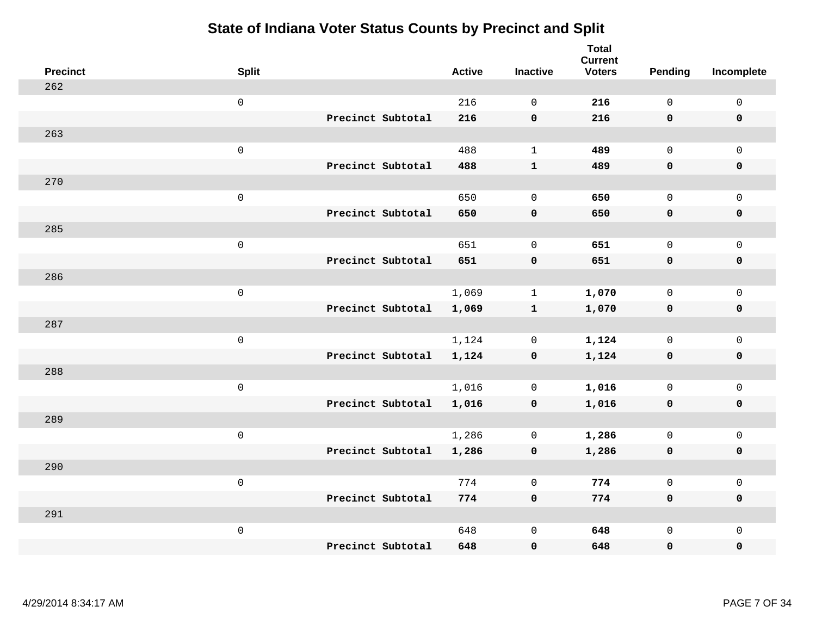| <b>Precinct</b> | <b>Split</b>        |                   | <b>Active</b> | <b>Inactive</b> | <b>Total</b><br><b>Current</b><br><b>Voters</b> | Pending      | Incomplete          |
|-----------------|---------------------|-------------------|---------------|-----------------|-------------------------------------------------|--------------|---------------------|
| 262             |                     |                   |               |                 |                                                 |              |                     |
|                 | $\mathsf 0$         |                   | 216           | $\mathbf 0$     | 216                                             | $\mathsf{O}$ | $\mathsf{O}\xspace$ |
|                 |                     | Precinct Subtotal | 216           | $\mathbf 0$     | 216                                             | $\mathbf 0$  | 0                   |
| 263             |                     |                   |               |                 |                                                 |              |                     |
|                 | $\mathsf 0$         |                   | 488           | $\mathbf{1}$    | 489                                             | $\mathsf{O}$ | $\mathsf{O}$        |
|                 |                     | Precinct Subtotal | 488           | ${\bf 1}$       | 489                                             | $\mathbf 0$  | 0                   |
| 270             |                     |                   |               |                 |                                                 |              |                     |
|                 | $\mathsf 0$         |                   | 650           | $\Omega$        | 650                                             | $\mathsf{O}$ | $\mathsf{O}\xspace$ |
|                 |                     | Precinct Subtotal | 650           | $\pmb{0}$       | 650                                             | 0            | $\mathbf 0$         |
| 285             |                     |                   |               |                 |                                                 |              |                     |
|                 | $\mathsf 0$         |                   | 651           | $\mathbf 0$     | 651                                             | $\mathsf{O}$ | $\mathsf{O}$        |
|                 |                     | Precinct Subtotal | 651           | $\pmb{0}$       | 651                                             | $\mathbf 0$  | 0                   |
| 286             |                     |                   |               |                 |                                                 |              |                     |
|                 | $\mathsf 0$         |                   | 1,069         | $\mathbf{1}$    | 1,070                                           | $\mathbf 0$  | $\mathsf{O}\xspace$ |
|                 |                     | Precinct Subtotal | 1,069         | $\mathbf{1}$    | 1,070                                           | $\mathbf 0$  | $\pmb{0}$           |
| 287             |                     |                   |               |                 |                                                 |              |                     |
|                 | $\mathbf 0$         |                   | 1,124         | 0               | 1,124                                           | $\mathbf 0$  | $\mathsf{O}$        |
|                 |                     | Precinct Subtotal | 1,124         | $\mathbf 0$     | 1,124                                           | $\mathbf 0$  | $\pmb{0}$           |
| 288             |                     |                   |               |                 |                                                 |              |                     |
|                 | $\mathsf 0$         |                   | 1,016         | $\mathbf 0$     | 1,016                                           | $\mathsf{O}$ | $\mathsf{O}\xspace$ |
|                 |                     | Precinct Subtotal | 1,016         | $\mathbf 0$     | 1,016                                           | 0            | 0                   |
| 289             |                     |                   |               |                 |                                                 |              |                     |
|                 | $\mathsf{O}\xspace$ |                   | 1,286         | $\mathbf 0$     | 1,286                                           | $\mathsf{O}$ | $\mathsf{O}\xspace$ |
|                 |                     | Precinct Subtotal | 1,286         | $\mathbf 0$     | 1,286                                           | 0            | 0                   |
| 290             |                     |                   |               |                 |                                                 |              |                     |
|                 | $\mathsf 0$         |                   | 774           | $\mathbf 0$     | 774                                             | $\mathbf{0}$ | $\mathsf{O}\xspace$ |
|                 |                     | Precinct Subtotal | 774           | $\mathbf 0$     | 774                                             | 0            | 0                   |
| 291             |                     |                   |               |                 |                                                 |              |                     |
|                 | $\mathbf 0$         |                   | 648           | $\mathsf 0$     | 648                                             | $\mathsf{O}$ | $\mathsf{O}$        |
|                 |                     | Precinct Subtotal | 648           | $\pmb{0}$       | 648                                             | 0            | 0                   |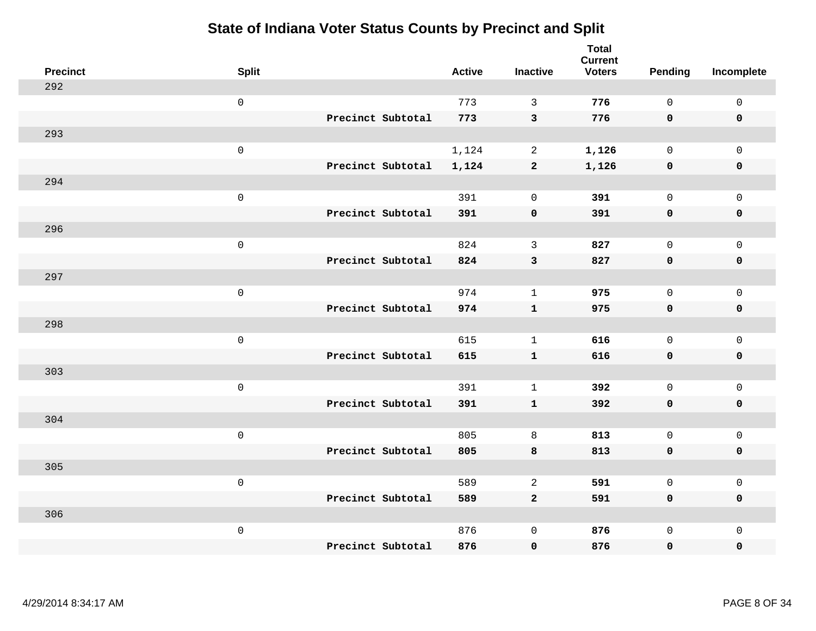| <b>Precinct</b> | <b>Split</b>        |                   | <b>Active</b> | <b>Inactive</b> | <b>Total</b><br><b>Current</b><br><b>Voters</b> | Pending      | Incomplete          |
|-----------------|---------------------|-------------------|---------------|-----------------|-------------------------------------------------|--------------|---------------------|
| 292             |                     |                   |               |                 |                                                 |              |                     |
|                 | $\mathsf 0$         |                   | 773           | 3               | 776                                             | $\mathbf{0}$ | $\mathsf{O}\xspace$ |
|                 |                     | Precinct Subtotal | 773           | $\mathbf{3}$    | 776                                             | $\mathbf 0$  | $\mathbf 0$         |
| 293             |                     |                   |               |                 |                                                 |              |                     |
|                 | $\mathsf 0$         |                   | 1,124         | $\overline{a}$  | 1,126                                           | $\mathbf 0$  | $\mathsf{O}$        |
|                 |                     | Precinct Subtotal | 1,124         | $\mathbf{2}$    | 1,126                                           | 0            | 0                   |
| 294             |                     |                   |               |                 |                                                 |              |                     |
|                 | $\mathsf 0$         |                   | 391           | $\mathbf 0$     | 391                                             | $\mathbf 0$  | $\mathsf{O}$        |
|                 |                     | Precinct Subtotal | 391           | $\mathbf 0$     | 391                                             | $\mathbf 0$  | $\pmb{0}$           |
| 296             |                     |                   |               |                 |                                                 |              |                     |
|                 | $\mathsf 0$         |                   | 824           | $\mathbf{3}$    | 827                                             | $\mathbf 0$  | $\mathsf{O}\xspace$ |
|                 |                     | Precinct Subtotal | 824           | $\mathsf 3$     | 827                                             | $\mathbf 0$  | $\pmb{0}$           |
| 297             |                     |                   |               |                 |                                                 |              |                     |
|                 | $\mathsf 0$         |                   | 974           | $\mathbf{1}$    | 975                                             | $\mathbf{0}$ | $\mathbf 0$         |
|                 |                     | Precinct Subtotal | 974           | $\mathbf{1}$    | 975                                             | 0            | $\mathbf 0$         |
| 298             |                     |                   |               |                 |                                                 |              |                     |
|                 | $\mathsf{O}\xspace$ |                   | 615           | $\mathbf{1}$    | 616                                             | $\mathsf{O}$ | $\mathsf{O}\xspace$ |
|                 |                     | Precinct Subtotal | 615           | ${\bf 1}$       | 616                                             | $\mathbf 0$  | 0                   |
| 303             |                     |                   |               |                 |                                                 |              |                     |
|                 | $\mathbf 0$         |                   | 391           | $\mathbf{1}$    | 392                                             | $\mathbf 0$  | $\mathsf{O}\xspace$ |
|                 |                     | Precinct Subtotal | 391           | $\mathbf{1}$    | 392                                             | 0            | 0                   |
| 304             |                     |                   |               |                 |                                                 |              |                     |
|                 | $\mathsf{O}\xspace$ |                   | 805           | $\,8\,$         | 813                                             | $\mathbf 0$  | $\mathsf{O}\xspace$ |
|                 |                     | Precinct Subtotal | 805           | 8               | 813                                             | 0            | 0                   |
| 305             |                     |                   |               |                 |                                                 |              |                     |
|                 | $\mathsf 0$         |                   | 589           | 2               | 591                                             | $\mathbf 0$  | $\mathsf{O}\xspace$ |
|                 |                     | Precinct Subtotal | 589           | $\overline{2}$  | 591                                             | 0            | 0                   |
| 306             |                     |                   |               |                 |                                                 |              |                     |
|                 | $\mathbf 0$         |                   | 876           | $\mathsf 0$     | 876                                             | $\mathsf{O}$ | $\mathsf{O}$        |
|                 |                     | Precinct Subtotal | 876           | $\pmb{0}$       | 876                                             | 0            | 0                   |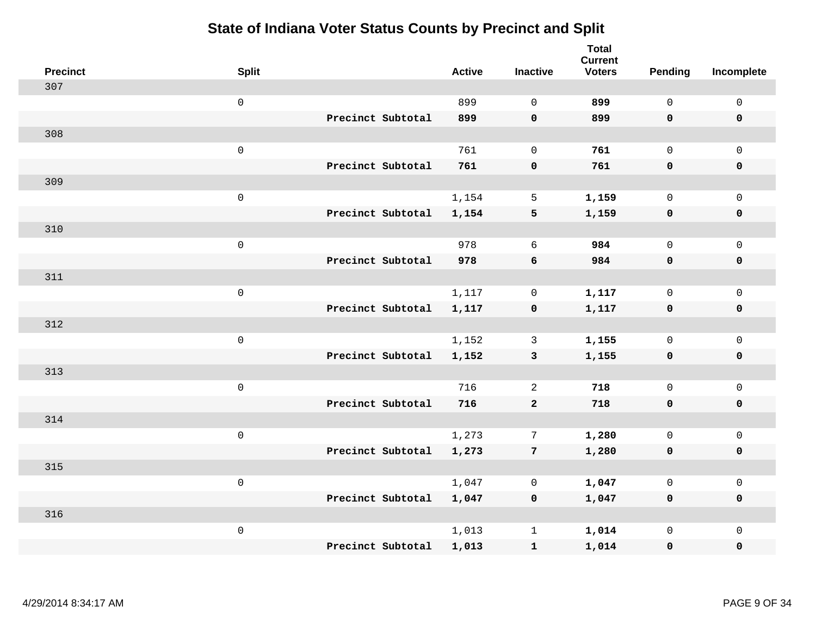| <b>Precinct</b> | <b>Split</b>        | <b>Active</b> | <b>Inactive</b>    | <b>Total</b><br><b>Current</b><br><b>Voters</b> | <b>Pending</b> | Incomplete          |
|-----------------|---------------------|---------------|--------------------|-------------------------------------------------|----------------|---------------------|
| 307             |                     |               |                    |                                                 |                |                     |
|                 | $\mathsf{O}\xspace$ | 899           | $\Omega$           | 899                                             | $\mathsf{O}$   | $\mathbf 0$         |
|                 | Precinct Subtotal   | 899           | $\mathbf 0$        | 899                                             | $\mathbf 0$    | $\mathbf 0$         |
| 308             |                     |               |                    |                                                 |                |                     |
|                 | $\mathsf 0$         | 761           | $\mathbf 0$        | 761                                             | $\mathbf 0$    | $\mathbf 0$         |
|                 | Precinct Subtotal   | 761           | $\pmb{0}$          | 761                                             | $\mathbf 0$    | $\mathbf 0$         |
| 309             |                     |               |                    |                                                 |                |                     |
|                 | $\mathsf 0$         | 1,154         | 5                  | 1,159                                           | $\mathbf 0$    | $\mathbf 0$         |
|                 | Precinct Subtotal   | 1,154         | 5                  | 1,159                                           | $\mathbf 0$    | $\mathbf 0$         |
| 310             |                     |               |                    |                                                 |                |                     |
|                 | $\mathbf 0$         | 978           | 6                  | 984                                             | $\mathbf 0$    | $\mathbf 0$         |
|                 | Precinct Subtotal   | 978           | 6                  | 984                                             | $\mathbf 0$    | $\mathbf 0$         |
| 311             |                     |               |                    |                                                 |                |                     |
|                 | $\mathbf 0$         | 1,117         | $\mathbf 0$        | 1,117                                           | $\mathbf 0$    | $\mathsf{O}\xspace$ |
|                 | Precinct Subtotal   | 1,117         | $\pmb{\mathsf{O}}$ | 1,117                                           | 0              | $\mathbf 0$         |
| 312             |                     |               |                    |                                                 |                |                     |
|                 | $\mathbf 0$         | 1,152         | 3                  | 1,155                                           | $\mathbf 0$    | $\mathsf{O}\xspace$ |
|                 | Precinct Subtotal   | 1,152         | $\mathbf{3}$       | 1,155                                           | $\mathbf 0$    | $\mathbf 0$         |
| 313             |                     |               |                    |                                                 |                |                     |
|                 | $\mathbf 0$         | 716           | 2                  | 718                                             | $\mathsf{O}$   | $\mathbf 0$         |
|                 | Precinct Subtotal   | 716           | $\mathbf 2$        | 718                                             | $\mathbf 0$    | 0                   |
| 314             |                     |               |                    |                                                 |                |                     |
|                 | $\mathbf 0$         | 1,273         | 7                  | 1,280                                           | $\mathbf 0$    | $\mathbf 0$         |
|                 | Precinct Subtotal   | 1,273         | $7\phantom{.0}$    | 1,280                                           | 0              | $\pmb{0}$           |
| 315             |                     |               |                    |                                                 |                |                     |
|                 | $\mathbf 0$         | 1,047         | 0                  | 1,047                                           | $\mathbf 0$    | $\mathbf 0$         |
|                 | Precinct Subtotal   | 1,047         | $\mathbf 0$        | 1,047                                           | $\mathbf 0$    | $\mathbf 0$         |
| 316             |                     |               |                    |                                                 |                |                     |
|                 | $\mathbf 0$         | 1,013         | $\mathbf{1}$       | 1,014                                           | $\mathsf{O}$   | $\mathbf 0$         |
|                 | Precinct Subtotal   | 1,013         | ${\bf 1}$          | 1,014                                           | 0              | $\pmb{0}$           |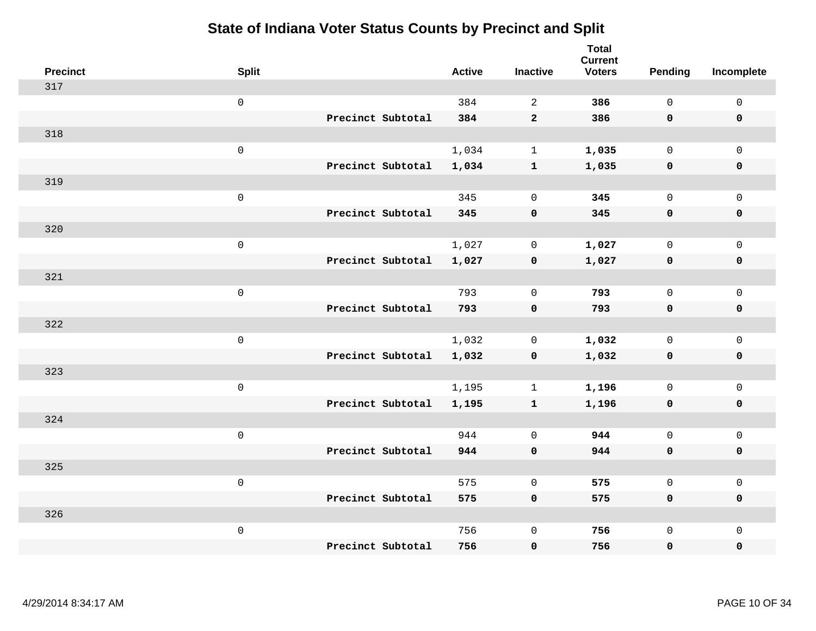| <b>Precinct</b> | <b>Split</b>        |                   | <b>Active</b> | <b>Inactive</b> | <b>Total</b><br><b>Current</b><br><b>Voters</b> | <b>Pending</b> | Incomplete          |
|-----------------|---------------------|-------------------|---------------|-----------------|-------------------------------------------------|----------------|---------------------|
| 317             |                     |                   |               |                 |                                                 |                |                     |
|                 | $\mathsf 0$         |                   | 384           | $\overline{a}$  | 386                                             | $\mathbf 0$    | $\mathsf{O}\xspace$ |
|                 |                     | Precinct Subtotal | 384           | $\overline{2}$  | 386                                             | $\mathbf 0$    | $\mathbf 0$         |
| 318             |                     |                   |               |                 |                                                 |                |                     |
|                 | $\mathsf{O}$        |                   | 1,034         | $\mathbf{1}$    | 1,035                                           | $\mathbf 0$    | $\mathsf{O}$        |
|                 |                     | Precinct Subtotal | 1,034         | $\mathbf{1}$    | 1,035                                           | $\mathbf 0$    | 0                   |
| 319             |                     |                   |               |                 |                                                 |                |                     |
|                 | $\mathsf 0$         |                   | 345           | $\mathbf 0$     | 345                                             | $\mathbf 0$    | $\mathsf{O}\xspace$ |
|                 |                     | Precinct Subtotal | 345           | $\mathbf 0$     | 345                                             | $\mathbf 0$    | $\pmb{0}$           |
| 320             |                     |                   |               |                 |                                                 |                |                     |
|                 | $\mathsf{O}\xspace$ |                   | 1,027         | 0               | 1,027                                           | $\mathbf 0$    | $\mathsf{O}$        |
|                 |                     | Precinct Subtotal | 1,027         | $\mathbf 0$     | 1,027                                           | $\mathbf 0$    | 0                   |
| 321             |                     |                   |               |                 |                                                 |                |                     |
|                 | $\mathbf 0$         |                   | 793           | $\mathbf 0$     | 793                                             | $\mathbf 0$    | $\mathsf{O}\xspace$ |
|                 |                     | Precinct Subtotal | 793           | $\mathbf 0$     | 793                                             | 0              | 0                   |
| 322             |                     |                   |               |                 |                                                 |                |                     |
|                 | $\mathsf{O}\xspace$ |                   | 1,032         | 0               | 1,032                                           | $\mathbf 0$    | $\mathsf{O}\xspace$ |
|                 |                     | Precinct Subtotal | 1,032         | $\mathbf 0$     | 1,032                                           | $\mathbf 0$    | 0                   |
| 323             |                     |                   |               |                 |                                                 |                |                     |
|                 | $\mathbf 0$         |                   | 1,195         | $\mathbf{1}$    | 1,196                                           | $\mathbf 0$    | $\mathsf{O}$        |
|                 |                     | Precinct Subtotal | 1,195         | $\mathbf{1}$    | 1,196                                           | 0              | 0                   |
| 324             |                     |                   |               |                 |                                                 |                |                     |
|                 | $\mathbf 0$         |                   | 944           | $\mathbf 0$     | 944                                             | $\mathbf 0$    | $\mathsf{O}\xspace$ |
|                 |                     | Precinct Subtotal | 944           | $\mathbf 0$     | 944                                             | 0              | 0                   |
| 325             |                     |                   |               |                 |                                                 |                |                     |
|                 | $\mathbf 0$         |                   | 575           | $\overline{0}$  | 575                                             | $\mathbf 0$    | $\mathsf{O}$        |
|                 |                     | Precinct Subtotal | 575           | $\mathbf 0$     | 575                                             | 0              | 0                   |
| 326             |                     |                   |               |                 |                                                 |                |                     |
|                 | $\mathbf 0$         |                   | 756           | $\mathbf 0$     | 756                                             | $\mathsf{O}$   | $\mathsf{O}$        |
|                 |                     | Precinct Subtotal | 756           | 0               | 756                                             | 0              | 0                   |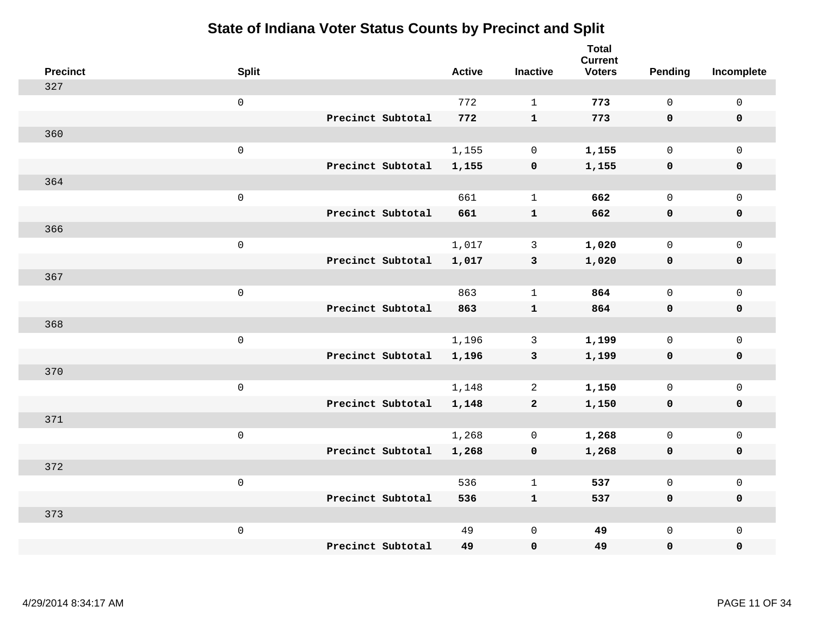| <b>Precinct</b> | <b>Split</b>        |                   | <b>Active</b> | <b>Inactive</b> | <b>Total</b><br><b>Current</b><br><b>Voters</b> | Pending      | Incomplete  |
|-----------------|---------------------|-------------------|---------------|-----------------|-------------------------------------------------|--------------|-------------|
| 327             |                     |                   |               |                 |                                                 |              |             |
|                 | $\mathsf{O}\xspace$ |                   | 772           | $\mathbf{1}$    | 773                                             | $\mathsf{O}$ | $\mathbf 0$ |
|                 |                     | Precinct Subtotal | 772           | $\mathbf{1}$    | 773                                             | $\mathbf 0$  | $\mathbf 0$ |
| 360             |                     |                   |               |                 |                                                 |              |             |
|                 | $\mathsf 0$         |                   | 1,155         | $\mathbf 0$     | 1,155                                           | $\mathsf{O}$ | $\mathbf 0$ |
|                 |                     | Precinct Subtotal | 1,155         | $\pmb{0}$       | 1,155                                           | $\mathbf 0$  | $\mathbf 0$ |
| 364             |                     |                   |               |                 |                                                 |              |             |
|                 | $\mathsf 0$         |                   | 661           | $\mathbf{1}$    | 662                                             | $\mathbf 0$  | $\mathbf 0$ |
|                 |                     | Precinct Subtotal | 661           | $\mathbf{1}$    | 662                                             | $\mathbf 0$  | $\mathbf 0$ |
| 366             |                     |                   |               |                 |                                                 |              |             |
|                 | $\mathsf 0$         |                   | 1,017         | $\mathbf{3}$    | 1,020                                           | $\mathsf{O}$ | $\mathbf 0$ |
|                 |                     | Precinct Subtotal | 1,017         | $\mathbf{3}$    | 1,020                                           | $\mathbf 0$  | $\mathbf 0$ |
| 367             |                     |                   |               |                 |                                                 |              |             |
|                 | $\mathsf 0$         |                   | 863           | $\mathbf{1}$    | 864                                             | $\mathbf 0$  | $\mathsf 0$ |
|                 |                     | Precinct Subtotal | 863           | $\mathbf{1}$    | 864                                             | $\mathbf 0$  | $\mathbf 0$ |
| 368             |                     |                   |               |                 |                                                 |              |             |
|                 | $\mathsf 0$         |                   | 1,196         | 3               | 1,199                                           | $\mathbf 0$  | $\mathsf 0$ |
|                 |                     | Precinct Subtotal | 1,196         | $\mathbf{3}$    | 1,199                                           | $\mathbf 0$  | $\mathbf 0$ |
| 370             |                     |                   |               |                 |                                                 |              |             |
|                 | $\mathbf 0$         |                   | 1,148         | 2               | 1,150                                           | $\mathsf{O}$ | $\mathbf 0$ |
|                 |                     | Precinct Subtotal | 1,148         | $\mathbf{2}$    | 1,150                                           | 0            | 0           |
| 371             |                     |                   |               |                 |                                                 |              |             |
|                 | $\mathsf 0$         |                   | 1,268         | $\mathbf 0$     | 1,268                                           | $\mathsf{O}$ | $\mathbf 0$ |
|                 |                     | Precinct Subtotal | 1,268         | $\mathbf 0$     | 1,268                                           | 0            | $\pmb{0}$   |
| 372             |                     |                   |               |                 |                                                 |              |             |
|                 | $\mathbf 0$         |                   | 536           | $\mathbf{1}$    | 537                                             | $\mathbf 0$  | $\mathbf 0$ |
|                 |                     | Precinct Subtotal | 536           | $\mathbf{1}$    | 537                                             | $\mathbf 0$  | $\mathbf 0$ |
| 373             |                     |                   |               |                 |                                                 |              |             |
|                 | $\mathsf 0$         |                   | 49            | $\mathsf 0$     | 49                                              | $\mathsf{O}$ | $\mathbf 0$ |
|                 |                     | Precinct Subtotal | 49            | $\pmb{0}$       | 49                                              | 0            | 0           |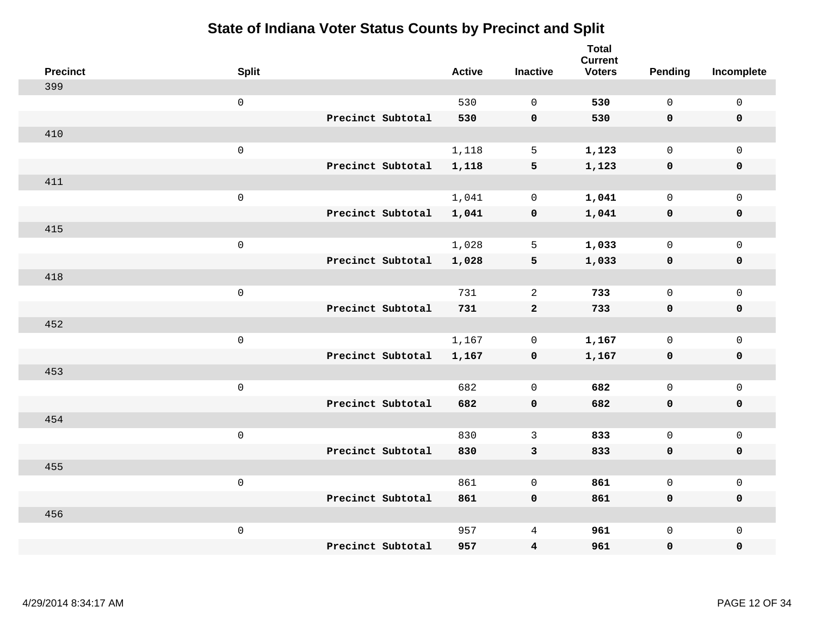| <b>Precinct</b> | <b>Split</b>        |                   | <b>Active</b> | <b>Inactive</b> | <b>Total</b><br><b>Current</b><br><b>Voters</b> | Pending      | Incomplete          |
|-----------------|---------------------|-------------------|---------------|-----------------|-------------------------------------------------|--------------|---------------------|
| 399             |                     |                   |               |                 |                                                 |              |                     |
|                 | $\mathsf 0$         |                   | 530           | $\Omega$        | 530                                             | $\mathbf{0}$ | $\mathsf 0$         |
|                 |                     | Precinct Subtotal | 530           | $\mathbf 0$     | 530                                             | $\mathbf 0$  | $\mathbf 0$         |
| 410             |                     |                   |               |                 |                                                 |              |                     |
|                 | $\mathsf 0$         |                   | 1,118         | 5               | 1,123                                           | $\mathbf 0$  | $\mathsf{O}$        |
|                 |                     | Precinct Subtotal | 1,118         | 5               | 1,123                                           | 0            | 0                   |
| 411             |                     |                   |               |                 |                                                 |              |                     |
|                 | $\mathsf 0$         |                   | 1,041         | $\mathbf 0$     | 1,041                                           | $\mathbf{0}$ | $\mathsf{O}$        |
|                 |                     | Precinct Subtotal | 1,041         | $\mathbf 0$     | 1,041                                           | $\mathbf 0$  | 0                   |
| 415             |                     |                   |               |                 |                                                 |              |                     |
|                 | $\mathsf 0$         |                   | 1,028         | 5               | 1,033                                           | $\mathbf{0}$ | $\mathsf{O}\xspace$ |
|                 |                     | Precinct Subtotal | 1,028         | 5               | 1,033                                           | $\mathbf 0$  | $\pmb{0}$           |
| 418             |                     |                   |               |                 |                                                 |              |                     |
|                 | $\mathsf 0$         |                   | 731           | 2               | 733                                             | $\mathbf 0$  | $\mathbf 0$         |
|                 |                     | Precinct Subtotal | 731           | $\overline{a}$  | 733                                             | 0            | $\mathbf 0$         |
| 452             |                     |                   |               |                 |                                                 |              |                     |
|                 | $\mathbf 0$         |                   | 1,167         | 0               | 1,167                                           | $\mathbf 0$  | $\mathsf{O}\xspace$ |
|                 |                     | Precinct Subtotal | 1,167         | $\pmb{0}$       | 1,167                                           | 0            | 0                   |
| 453             |                     |                   |               |                 |                                                 |              |                     |
|                 | $\mathbf 0$         |                   | 682           | $\overline{0}$  | 682                                             | $\mathbf 0$  | $\mathsf{O}\xspace$ |
|                 |                     | Precinct Subtotal | 682           | $\mathbf 0$     | 682                                             | 0            | 0                   |
| 454             |                     |                   |               |                 |                                                 |              |                     |
|                 | $\mathsf{O}\xspace$ |                   | 830           | $\mathbf{3}$    | 833                                             | $\mathbf 0$  | $\mathsf{O}\xspace$ |
|                 |                     | Precinct Subtotal | 830           | 3               | 833                                             | 0            | 0                   |
| 455             |                     |                   |               |                 |                                                 |              |                     |
|                 | $\mathsf 0$         |                   | 861           | $\mathbf 0$     | 861                                             | $\mathbf 0$  | $\mathsf{O}$        |
|                 |                     | Precinct Subtotal | 861           | $\mathbf 0$     | 861                                             | 0            | 0                   |
| 456             |                     |                   |               |                 |                                                 |              |                     |
|                 | $\mathbf 0$         |                   | 957           | 4               | 961                                             | $\mathsf{O}$ | $\mathsf{O}$        |
|                 |                     | Precinct Subtotal | 957           | 4               | 961                                             | 0            | 0                   |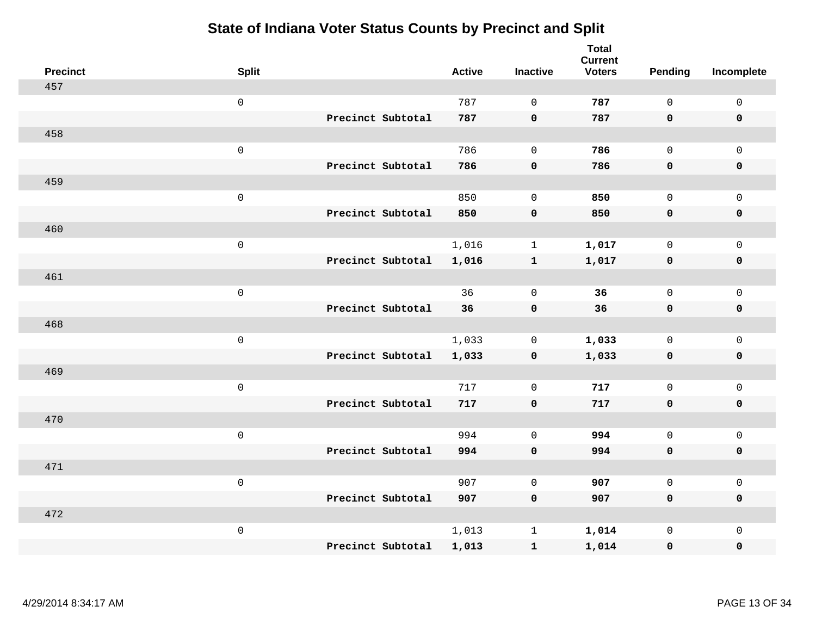| <b>Precinct</b> | <b>Split</b>        |                   | <b>Active</b> | <b>Inactive</b> | <b>Total</b><br><b>Current</b><br><b>Voters</b> | Pending      | Incomplete          |
|-----------------|---------------------|-------------------|---------------|-----------------|-------------------------------------------------|--------------|---------------------|
| 457             |                     |                   |               |                 |                                                 |              |                     |
|                 | $\mathsf 0$         |                   | 787           | $\mathbf 0$     | 787                                             | $\mathsf{O}$ | $\mathsf 0$         |
|                 |                     | Precinct Subtotal | 787           | $\mathbf 0$     | 787                                             | $\mathbf 0$  | 0                   |
| 458             |                     |                   |               |                 |                                                 |              |                     |
|                 | $\mathsf{O}\xspace$ |                   | 786           | $\mathbf 0$     | 786                                             | $\mathsf{O}$ | $\mathsf{O}$        |
|                 |                     | Precinct Subtotal | 786           | $\pmb{0}$       | 786                                             | $\mathbf 0$  | $\pmb{0}$           |
| 459             |                     |                   |               |                 |                                                 |              |                     |
|                 | $\mathsf 0$         |                   | 850           | $\mathbf 0$     | 850                                             | $\mathsf{O}$ | $\mathsf{O}$        |
|                 |                     | Precinct Subtotal | 850           | $\mathbf 0$     | 850                                             | $\mathbf 0$  | 0                   |
| 460             |                     |                   |               |                 |                                                 |              |                     |
|                 | $\mathsf{O}\xspace$ |                   | 1,016         | $\mathbf{1}$    | 1,017                                           | $\mathbf{0}$ | $\mathsf{O}\xspace$ |
|                 |                     | Precinct Subtotal | 1,016         | $\mathbf{1}$    | 1,017                                           | $\mathbf 0$  | $\pmb{0}$           |
| 461             |                     |                   |               |                 |                                                 |              |                     |
|                 | $\mathsf{O}\xspace$ |                   | 36            | $\mathbf 0$     | 36                                              | $\mathbf{0}$ | $\mathsf 0$         |
|                 |                     | Precinct Subtotal | 36            | $\mathbf 0$     | 36                                              | 0            | $\mathbf 0$         |
| 468             |                     |                   |               |                 |                                                 |              |                     |
|                 | $\mathsf{O}\xspace$ |                   | 1,033         | $\mathbf 0$     | 1,033                                           | $\mathbf 0$  | $\mathsf{O}\xspace$ |
|                 |                     | Precinct Subtotal | 1,033         | $\mathbf 0$     | 1,033                                           | $\mathbf 0$  | 0                   |
| 469             |                     |                   |               |                 |                                                 |              |                     |
|                 | $\mathsf{O}\xspace$ |                   | 717           | $\mathbf 0$     | 717                                             | $\mathbf{0}$ | $\mathsf{O}$        |
|                 |                     | Precinct Subtotal | 717           | $\mathbf 0$     | 717                                             | $\mathbf 0$  | 0                   |
| 470             |                     |                   |               |                 |                                                 |              |                     |
|                 | $\mathsf 0$         |                   | 994           | $\mathbf 0$     | 994                                             | $\mathsf{O}$ | $\mathsf{O}$        |
|                 |                     | Precinct Subtotal | 994           | $\mathbf 0$     | 994                                             | 0            | 0                   |
| 471             |                     |                   |               |                 |                                                 |              |                     |
|                 | $\mathsf{O}\xspace$ |                   | 907           | $\mathbf 0$     | 907                                             | $\mathsf{O}$ | $\mathsf{O}\xspace$ |
|                 |                     | Precinct Subtotal | 907           | $\mathbf 0$     | 907                                             | 0            | 0                   |
| 472             |                     |                   |               |                 |                                                 |              |                     |
|                 | $\mathsf{O}\xspace$ |                   | 1,013         | $\mathbf{1}$    | 1,014                                           | $\mathsf{O}$ | $\mathsf{O}$        |
|                 |                     | Precinct Subtotal | 1,013         | ${\bf 1}$       | 1,014                                           | 0            | 0                   |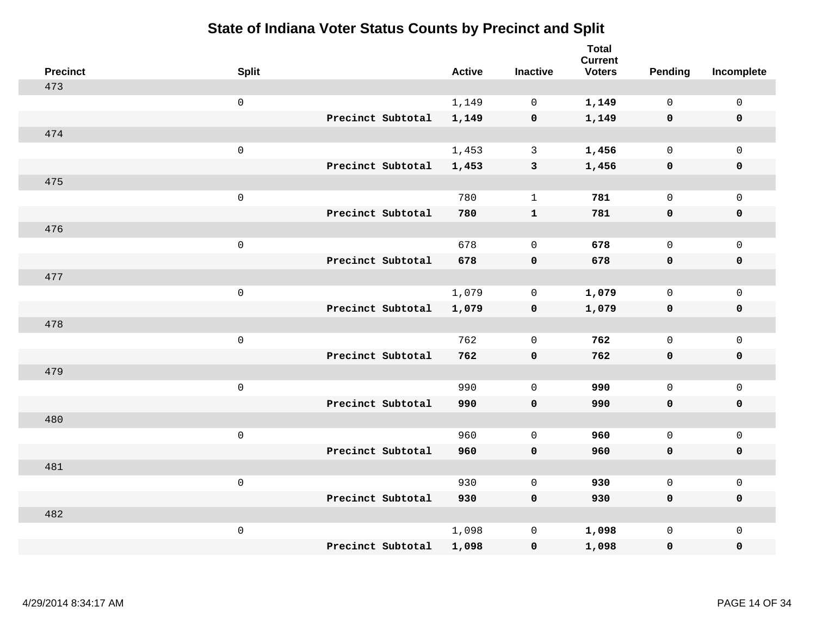| <b>Precinct</b> | <b>Split</b>        |                   | <b>Active</b> | <b>Inactive</b> | <b>Total</b><br><b>Current</b><br><b>Voters</b> | <b>Pending</b> | Incomplete          |
|-----------------|---------------------|-------------------|---------------|-----------------|-------------------------------------------------|----------------|---------------------|
| 473             |                     |                   |               |                 |                                                 |                |                     |
|                 | $\mathsf 0$         |                   | 1,149         | $\mathbf 0$     | 1,149                                           | $\mathbf 0$    | $\mathsf 0$         |
|                 |                     | Precinct Subtotal | 1,149         | $\mathbf 0$     | 1,149                                           | $\mathbf 0$    | $\mathbf 0$         |
| 474             |                     |                   |               |                 |                                                 |                |                     |
|                 | $\mathsf{O}$        |                   | 1,453         | $\mathbf{3}$    | 1,456                                           | $\mathbf{0}$   | $\mathsf{O}$        |
|                 |                     | Precinct Subtotal | 1,453         | $\mathbf{3}$    | 1,456                                           | $\mathbf 0$    | 0                   |
| 475             |                     |                   |               |                 |                                                 |                |                     |
|                 | $\mathsf{O}\xspace$ |                   | 780           | $\mathbf{1}$    | 781                                             | $\mathbf{0}$   | $\mathsf{O}\xspace$ |
|                 |                     | Precinct Subtotal | 780           | $\mathbf{1}$    | 781                                             | 0              | $\pmb{0}$           |
| 476             |                     |                   |               |                 |                                                 |                |                     |
|                 | $\mathbf 0$         |                   | 678           | $\mathbf 0$     | 678                                             | $\mathbf 0$    | $\mathsf{O}$        |
|                 |                     | Precinct Subtotal | 678           | $\mathbf 0$     | 678                                             | 0              | 0                   |
| 477             |                     |                   |               |                 |                                                 |                |                     |
|                 | $\mathbf 0$         |                   | 1,079         | $\mathbf 0$     | 1,079                                           | $\mathbf 0$    | $\mathsf{O}\xspace$ |
|                 |                     | Precinct Subtotal | 1,079         | $\mathbf 0$     | 1,079                                           | 0              | 0                   |
| 478             |                     |                   |               |                 |                                                 |                |                     |
|                 | $\mathbf 0$         |                   | 762           | $\mathbf 0$     | 762                                             | $\mathbf 0$    | $\mathsf{O}\xspace$ |
|                 |                     | Precinct Subtotal | 762           | $\mathbf 0$     | 762                                             | 0              | 0                   |
| 479             |                     |                   |               |                 |                                                 |                |                     |
|                 | $\mathbf 0$         |                   | 990           | $\mathbf 0$     | 990                                             | $\mathsf{O}$   | $\mathsf{O}$        |
|                 |                     | Precinct Subtotal | 990           | $\mathbf 0$     | 990                                             | 0              | 0                   |
| 480             |                     |                   |               |                 |                                                 |                |                     |
|                 | $\mathbf 0$         |                   | 960           | $\mathbf 0$     | 960                                             | $\mathsf{O}$   | $\mathsf{O}\xspace$ |
|                 |                     | Precinct Subtotal | 960           | $\mathbf 0$     | 960                                             | 0              | 0                   |
| 481             |                     |                   |               |                 |                                                 |                |                     |
|                 | $\mathbf 0$         |                   | 930           | $\mathbf 0$     | 930                                             | $\mathbf 0$    | $\mathsf{O}$        |
|                 |                     | Precinct Subtotal | 930           | $\mathbf 0$     | 930                                             | 0              | 0                   |
| 482             |                     |                   |               |                 |                                                 |                |                     |
|                 | $\mathbf 0$         |                   | 1,098         | $\mathbf 0$     | 1,098                                           | $\mathsf{O}$   | $\mathsf{O}$        |
|                 |                     | Precinct Subtotal | 1,098         | $\mathbf 0$     | 1,098                                           | 0              | 0                   |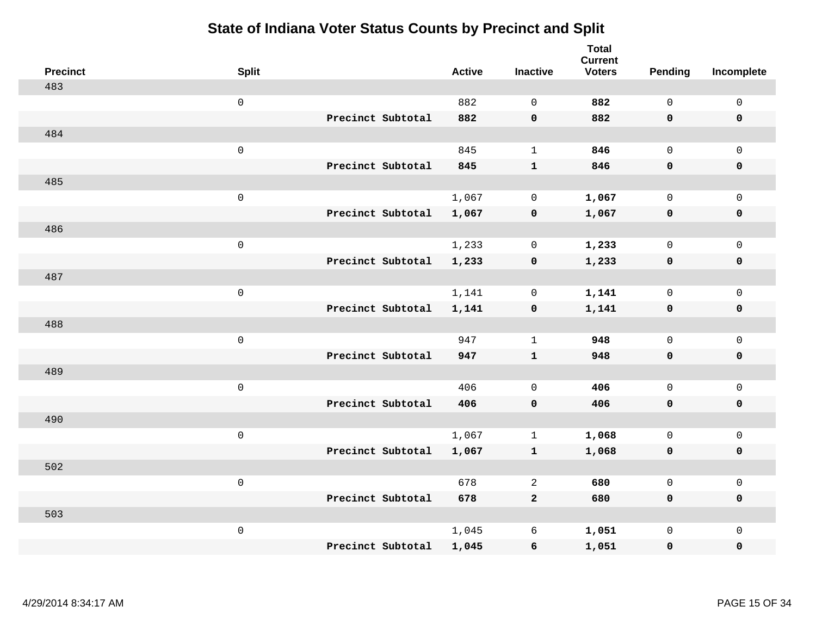| <b>Precinct</b> | <b>Split</b>        |                   | <b>Active</b> | <b>Inactive</b> | <b>Total</b><br><b>Current</b><br><b>Voters</b> | <b>Pending</b> | Incomplete          |
|-----------------|---------------------|-------------------|---------------|-----------------|-------------------------------------------------|----------------|---------------------|
| 483             |                     |                   |               |                 |                                                 |                |                     |
|                 | $\mathsf{O}\xspace$ |                   | 882           | $\Omega$        | 882                                             | $\mathsf{O}$   | $\mathsf{O}\xspace$ |
|                 |                     | Precinct Subtotal | 882           | $\mathbf 0$     | 882                                             | $\mathbf 0$    | $\mathbf 0$         |
| 484             |                     |                   |               |                 |                                                 |                |                     |
|                 | $\mathsf{O}\xspace$ |                   | 845           | $\mathbf{1}$    | 846                                             | $\mathbf 0$    | $\mathsf{O}$        |
|                 |                     | Precinct Subtotal | 845           | ${\bf 1}$       | 846                                             | $\mathbf 0$    | 0                   |
| 485             |                     |                   |               |                 |                                                 |                |                     |
|                 | $\mathsf{O}\xspace$ |                   | 1,067         | $\mathbf 0$     | 1,067                                           | $\mathbf 0$    | $\mathsf{O}\xspace$ |
|                 |                     | Precinct Subtotal | 1,067         | $\mathbf 0$     | 1,067                                           | $\mathbf 0$    | $\pmb{0}$           |
| 486             |                     |                   |               |                 |                                                 |                |                     |
|                 | $\mathsf{O}\xspace$ |                   | 1,233         | 0               | 1,233                                           | $\mathbf 0$    | $\mathsf{O}$        |
|                 |                     | Precinct Subtotal | 1,233         | $\mathbf 0$     | 1,233                                           | $\mathbf 0$    | 0                   |
| 487             |                     |                   |               |                 |                                                 |                |                     |
|                 | $\mathsf{O}\xspace$ |                   | 1,141         | $\mathbf 0$     | 1,141                                           | $\mathbf 0$    | $\mathsf{O}\xspace$ |
|                 |                     | Precinct Subtotal | 1,141         | $\mathbf 0$     | 1,141                                           | 0              | 0                   |
| 488             |                     |                   |               |                 |                                                 |                |                     |
|                 | $\mathsf 0$         |                   | 947           | $\mathbf{1}$    | 948                                             | $\mathbf 0$    | $\mathsf{O}$        |
|                 |                     | Precinct Subtotal | 947           | $\mathbf{1}$    | 948                                             | 0              | 0                   |
| 489             |                     |                   |               |                 |                                                 |                |                     |
|                 | $\mathsf{O}\xspace$ |                   | 406           | $\mathbf 0$     | 406                                             | $\mathsf{O}$   | $\mathsf{O}$        |
|                 |                     | Precinct Subtotal | 406           | $\mathbf 0$     | 406                                             | $\mathbf 0$    | 0                   |
| 490             |                     |                   |               |                 |                                                 |                |                     |
|                 | $\mathsf 0$         |                   | 1,067         | $\mathbf{1}$    | 1,068                                           | $\mathsf{O}$   | $\mathsf{O}$        |
|                 |                     | Precinct Subtotal | 1,067         | $\mathbf{1}$    | 1,068                                           | 0              | 0                   |
| 502             |                     |                   |               |                 |                                                 |                |                     |
|                 | $\mathsf 0$         |                   | 678           | 2               | 680                                             | $\mathbf 0$    | $\mathsf{O}$        |
|                 |                     | Precinct Subtotal | 678           | $\mathbf{2}$    | 680                                             | 0              | 0                   |
| 503             |                     |                   |               |                 |                                                 |                |                     |
|                 | $\mathsf 0$         |                   | 1,045         | 6               | 1,051                                           | $\mathsf{O}$   | $\mathsf{O}$        |
|                 |                     | Precinct Subtotal | 1,045         | 6               | 1,051                                           | 0              | 0                   |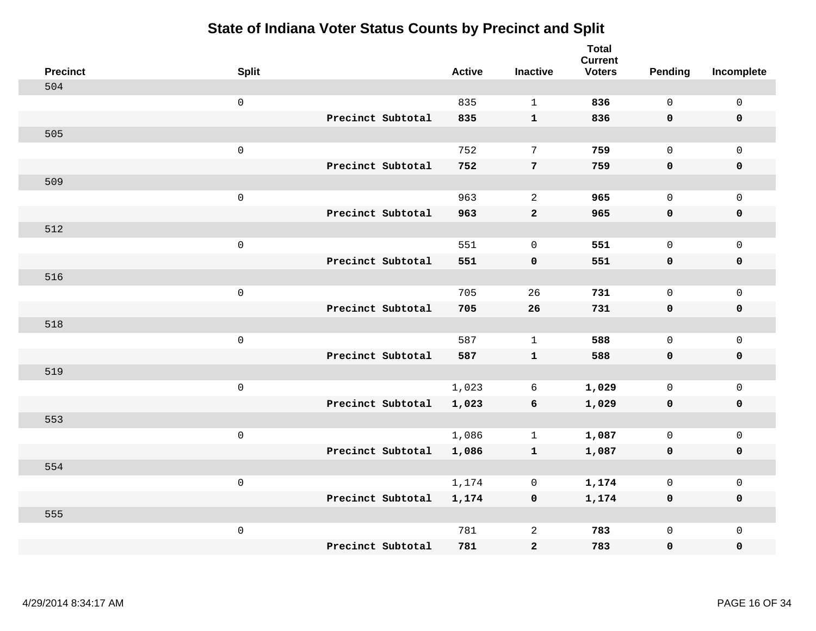| <b>Precinct</b> | <b>Split</b>        |                   | <b>Active</b> | <b>Inactive</b> | <b>Total</b><br><b>Current</b><br><b>Voters</b> | Pending      | Incomplete          |
|-----------------|---------------------|-------------------|---------------|-----------------|-------------------------------------------------|--------------|---------------------|
| 504             |                     |                   |               |                 |                                                 |              |                     |
|                 | $\mathsf 0$         |                   | 835           | $\mathbf{1}$    | 836                                             | $\mathbf{0}$ | $\mathsf{O}\xspace$ |
|                 |                     | Precinct Subtotal | 835           | $\mathbf{1}$    | 836                                             | $\mathbf 0$  | $\mathbf 0$         |
| 505             |                     |                   |               |                 |                                                 |              |                     |
|                 | $\mathsf{O}\xspace$ |                   | 752           | $7\phantom{.0}$ | 759                                             | $\mathbf{0}$ | $\mathsf{O}$        |
|                 |                     | Precinct Subtotal | 752           | $\overline{7}$  | 759                                             | $\mathbf 0$  | 0                   |
| 509             |                     |                   |               |                 |                                                 |              |                     |
|                 | $\mathsf{O}\xspace$ |                   | 963           | 2               | 965                                             | $\mathbf 0$  | $\mathsf{O}$        |
|                 |                     | Precinct Subtotal | 963           | $\mathbf{2}$    | 965                                             | 0            | 0                   |
| 512             |                     |                   |               |                 |                                                 |              |                     |
|                 | $\mathsf 0$         |                   | 551           | $\mathbf 0$     | 551                                             | $\mathbf{0}$ | $\mathsf{O}$        |
|                 |                     | Precinct Subtotal | 551           | $\mathbf 0$     | 551                                             | $\mathbf 0$  | $\pmb{0}$           |
| 516             |                     |                   |               |                 |                                                 |              |                     |
|                 | $\mathsf 0$         |                   | 705           | 26              | 731                                             | $\mathbf 0$  | $\mathbf 0$         |
|                 |                     | Precinct Subtotal | 705           | 26              | 731                                             | 0            | $\mathbf 0$         |
| 518             |                     |                   |               |                 |                                                 |              |                     |
|                 | $\mathsf{O}\xspace$ |                   | 587           | $\mathbf{1}$    | 588                                             | $\mathbf 0$  | $\mathsf{O}$        |
|                 |                     | Precinct Subtotal | 587           | ${\bf 1}$       | 588                                             | $\mathbf 0$  | 0                   |
| 519             |                     |                   |               |                 |                                                 |              |                     |
|                 | $\mathbf 0$         |                   | 1,023         | 6               | 1,029                                           | $\mathbf 0$  | $\mathsf{O}\xspace$ |
|                 |                     | Precinct Subtotal | 1,023         | 6               | 1,029                                           | 0            | 0                   |
| 553             |                     |                   |               |                 |                                                 |              |                     |
|                 | $\mathsf{O}\xspace$ |                   | 1,086         | $\mathbf{1}$    | 1,087                                           | $\mathbf 0$  | $\mathsf{O}\xspace$ |
|                 |                     | Precinct Subtotal | 1,086         | ${\bf 1}$       | 1,087                                           | $\mathbf 0$  | 0                   |
| 554             |                     |                   |               |                 |                                                 |              |                     |
|                 | $\mathsf 0$         |                   | 1,174         | $\mathbf 0$     | 1,174                                           | $\mathbf 0$  | $\mathsf{O}$        |
|                 |                     | Precinct Subtotal | 1,174         | $\mathbf 0$     | 1,174                                           | 0            | 0                   |
| 555             |                     |                   |               |                 |                                                 |              |                     |
|                 | $\mathbf 0$         |                   | 781           | 2               | 783                                             | $\mathsf{O}$ | $\mathsf{O}$        |
|                 |                     | Precinct Subtotal | 781           | $\bf{2}$        | 783                                             | 0            | 0                   |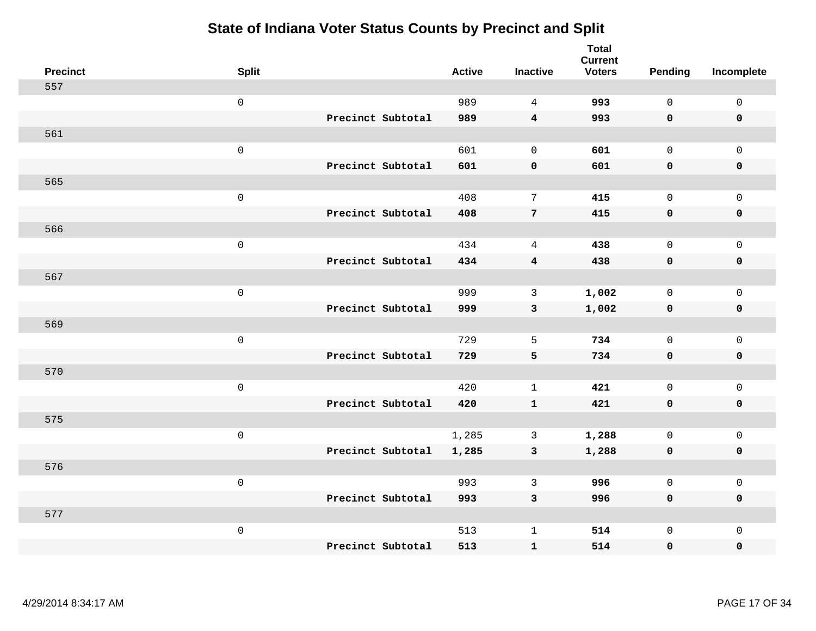| <b>Precinct</b> | <b>Split</b>        |                   | <b>Active</b> | <b>Inactive</b>         | <b>Total</b><br><b>Current</b><br><b>Voters</b> | <b>Pending</b> | Incomplete          |
|-----------------|---------------------|-------------------|---------------|-------------------------|-------------------------------------------------|----------------|---------------------|
| 557             |                     |                   |               |                         |                                                 |                |                     |
|                 | $\mathsf 0$         |                   | 989           | $\overline{4}$          | 993                                             | $\mathsf{O}$   | $\mathsf 0$         |
|                 |                     | Precinct Subtotal | 989           | $\overline{\mathbf{4}}$ | 993                                             | $\mathbf 0$    | $\mathbf 0$         |
| 561             |                     |                   |               |                         |                                                 |                |                     |
|                 | $\mathsf 0$         |                   | 601           | $\mathbf 0$             | 601                                             | $\mathbf 0$    | $\mathbf 0$         |
|                 |                     | Precinct Subtotal | 601           | $\pmb{\mathsf{O}}$      | 601                                             | $\mathbf 0$    | $\pmb{0}$           |
| 565             |                     |                   |               |                         |                                                 |                |                     |
|                 | $\mathsf{O}\xspace$ |                   | 408           | 7                       | 415                                             | $\mathbf 0$    | $\mathsf 0$         |
|                 |                     | Precinct Subtotal | 408           | $\overline{7}$          | 415                                             | $\mathbf 0$    | $\mathbf 0$         |
| 566             |                     |                   |               |                         |                                                 |                |                     |
|                 | $\mathsf 0$         |                   | 434           | $\overline{4}$          | 438                                             | $\mathbf 0$    | $\mathsf{O}\xspace$ |
|                 |                     | Precinct Subtotal | 434           | $\boldsymbol{4}$        | 438                                             | $\mathbf 0$    | $\mathbf 0$         |
| 567             |                     |                   |               |                         |                                                 |                |                     |
|                 | $\mathsf 0$         |                   | 999           | 3                       | 1,002                                           | $\mathbf 0$    | $\mathbf{0}$        |
|                 |                     | Precinct Subtotal | 999           | $\mathbf{3}$            | 1,002                                           | $\mathbf 0$    | $\mathbf 0$         |
| 569             |                     |                   |               |                         |                                                 |                |                     |
|                 | $\mathsf 0$         |                   | 729           | 5                       | 734                                             | $\mathbf 0$    | $\mathsf{O}\xspace$ |
|                 |                     | Precinct Subtotal | 729           | $\overline{\mathbf{5}}$ | 734                                             | $\mathbf 0$    | $\mathbf 0$         |
| 570             |                     |                   |               |                         |                                                 |                |                     |
|                 | $\mathbf 0$         |                   | 420           | $\mathbf{1}$            | 421                                             | $\mathbf 0$    | $\mathbf 0$         |
|                 |                     | Precinct Subtotal | 420           | $\mathbf{1}$            | 421                                             | $\mathbf 0$    | $\mathbf 0$         |
| 575             |                     |                   |               |                         |                                                 |                |                     |
|                 | $\mathsf 0$         |                   | 1,285         | $\mathbf{3}$            | 1,288                                           | $\mathsf{O}$   | $\mathbf 0$         |
|                 |                     | Precinct Subtotal | 1,285         | $\mathbf{3}$            | 1,288                                           | 0              | $\pmb{0}$           |
| 576             |                     |                   |               |                         |                                                 |                |                     |
|                 | $\mathbf 0$         |                   | 993           | $\mathbf{3}$            | 996                                             | $\mathbf 0$    | $\mathsf{O}\xspace$ |
|                 |                     | Precinct Subtotal | 993           | 3                       | 996                                             | 0              | $\pmb{0}$           |
| 577             |                     |                   |               |                         |                                                 |                |                     |
|                 | $\mathbf 0$         |                   | 513           | $\mathbf{1}$            | 514                                             | $\mathsf{O}$   | $\mathbf 0$         |
|                 |                     | Precinct Subtotal | 513           | ${\bf 1}$               | 514                                             | 0              | 0                   |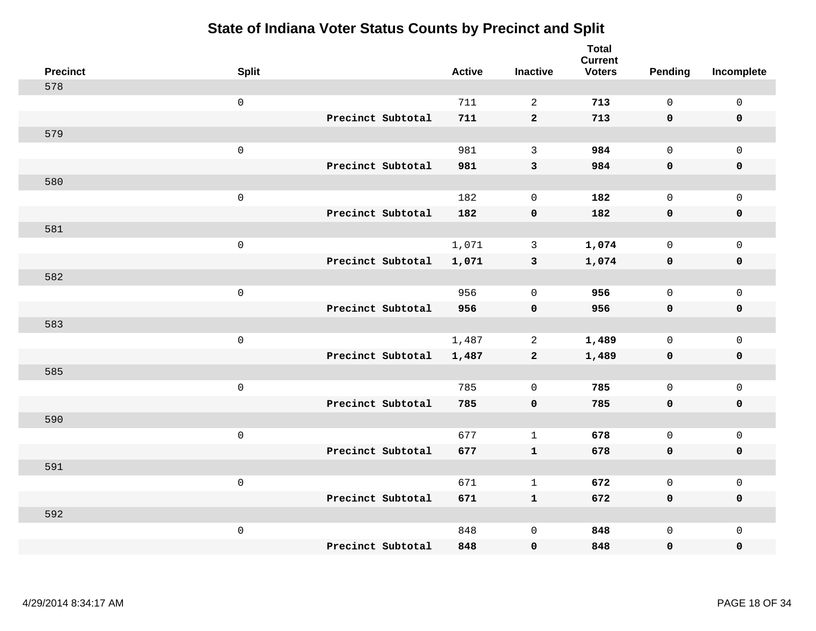| <b>Precinct</b> | <b>Split</b>        | <b>Active</b> | <b>Inactive</b>     | <b>Total</b><br><b>Current</b><br><b>Voters</b> | Pending     | Incomplete   |
|-----------------|---------------------|---------------|---------------------|-------------------------------------------------|-------------|--------------|
| 578             |                     |               |                     |                                                 |             |              |
|                 | $\mathsf{O}\xspace$ | 711           | 2                   | 713                                             | $\Omega$    | $\mathsf 0$  |
|                 | Precinct Subtotal   | 711           | $\overline{2}$      | 713                                             | $\mathbf 0$ | $\mathbf 0$  |
| 579             |                     |               |                     |                                                 |             |              |
|                 | $\mathsf{O}\xspace$ | 981           | 3                   | 984                                             | $\mathbf 0$ | $\mathbf{0}$ |
|                 | Precinct Subtotal   | 981           | $\mathbf{3}$        | 984                                             | $\mathbf 0$ | $\pmb{0}$    |
| 580             |                     |               |                     |                                                 |             |              |
|                 | $\mathsf 0$         | 182           | $\mathbf 0$         | 182                                             | $\Omega$    | $\mathbf 0$  |
|                 | Precinct Subtotal   | 182           | $\pmb{0}$           | 182                                             | $\mathbf 0$ | $\mathbf 0$  |
| 581             |                     |               |                     |                                                 |             |              |
|                 | $\mathbf 0$         | 1,071         | $\mathbf{3}$        | 1,074                                           | $\mathbf 0$ | $\mathbf 0$  |
|                 | Precinct Subtotal   | 1,071         | $\mathbf{3}$        | 1,074                                           | $\mathbf 0$ | $\mathbf 0$  |
| 582             |                     |               |                     |                                                 |             |              |
|                 | $\mathbf 0$         | 956           | $\mathbf 0$         | 956                                             | $\mathbf 0$ | $\mathbf 0$  |
|                 | Precinct Subtotal   | 956           | $\mathbf 0$         | 956                                             | $\mathbf 0$ | $\mathbf 0$  |
| 583             |                     |               |                     |                                                 |             |              |
|                 | $\mathbf 0$         | 1,487         | 2                   | 1,489                                           | $\mathbf 0$ | $\mathbf 0$  |
|                 | Precinct Subtotal   | 1,487         | $\mathbf{2}$        | 1,489                                           | $\mathbf 0$ | $\mathbf 0$  |
| 585             |                     |               |                     |                                                 |             |              |
|                 | $\mathbf 0$         | 785           | $\mathbf 0$         | 785                                             | $\mathbf 0$ | $\mathbf 0$  |
|                 | Precinct Subtotal   | 785           | $\mathbf 0$         | 785                                             | $\mathbf 0$ | 0            |
| 590             |                     |               |                     |                                                 |             |              |
|                 | $\mathbf 0$         | 677           | $\mathbf{1}$        | 678                                             | $\mathbf 0$ | $\mathbf 0$  |
|                 | Precinct Subtotal   | 677           | $\mathbf{1}$        | 678                                             | $\mathbf 0$ | $\pmb{0}$    |
| 591             |                     |               |                     |                                                 |             |              |
|                 | $\mathbf 0$         | 671           | $\mathbf{1}$        | 672                                             | $\mathbf 0$ | $\mathbf 0$  |
|                 | Precinct Subtotal   | 671           | $\mathbf{1}$        | 672                                             | $\mathbf 0$ | $\mathbf 0$  |
| 592             |                     |               |                     |                                                 |             |              |
|                 | $\mathbf 0$         | 848           | $\mathsf{O}\xspace$ | 848                                             | $\mathbf 0$ | $\mathbf 0$  |
|                 | Precinct Subtotal   | 848           | $\mathbf 0$         | 848                                             | 0           | 0            |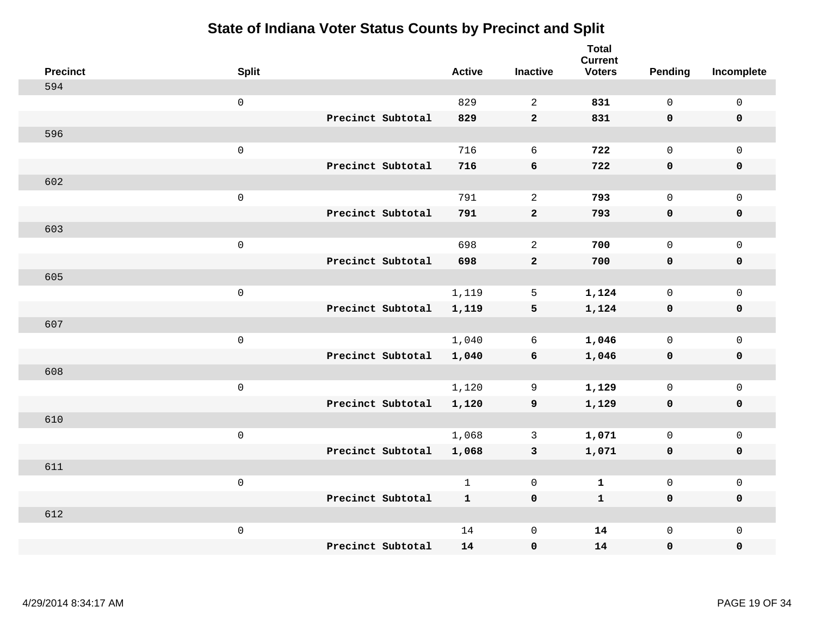| <b>Precinct</b> | <b>Split</b>        |                   | <b>Active</b> | <b>Inactive</b>  | <b>Total</b><br><b>Current</b><br><b>Voters</b> | <b>Pending</b> | Incomplete          |
|-----------------|---------------------|-------------------|---------------|------------------|-------------------------------------------------|----------------|---------------------|
| 594             |                     |                   |               |                  |                                                 |                |                     |
|                 | $\mathsf 0$         |                   | 829           | $\overline{2}$   | 831                                             | $\mathsf{O}$   | $\mathsf 0$         |
|                 |                     | Precinct Subtotal | 829           | $\mathbf{2}$     | 831                                             | $\mathbf 0$    | $\mathbf 0$         |
| 596             |                     |                   |               |                  |                                                 |                |                     |
|                 | $\mathbf 0$         |                   | 716           | 6                | 722                                             | $\mathsf{O}$   | $\mathbf 0$         |
|                 |                     | Precinct Subtotal | 716           | $\bf 6$          | 722                                             | $\mathbf 0$    | $\pmb{0}$           |
| 602             |                     |                   |               |                  |                                                 |                |                     |
|                 | $\mathsf{O}\xspace$ |                   | 791           | 2                | 793                                             | $\mathbf 0$    | $\mathbf 0$         |
|                 |                     | Precinct Subtotal | 791           | $\mathbf{2}$     | 793                                             | 0              | $\pmb{0}$           |
| 603             |                     |                   |               |                  |                                                 |                |                     |
|                 | $\mathsf 0$         |                   | 698           | $\sqrt{2}$       | 700                                             | $\mathsf{O}$   | $\mathbf 0$         |
|                 |                     | Precinct Subtotal | 698           | $\mathbf{2}$     | 700                                             | $\mathbf 0$    | $\pmb{0}$           |
| 605             |                     |                   |               |                  |                                                 |                |                     |
|                 | $\mathsf 0$         |                   | 1,119         | 5                | 1,124                                           | $\mathbf 0$    | $\mathsf 0$         |
|                 |                     | Precinct Subtotal | 1,119         | 5                | 1,124                                           | $\mathbf 0$    | $\mathbf 0$         |
| 607             |                     |                   |               |                  |                                                 |                |                     |
|                 | $\mathsf 0$         |                   | 1,040         | 6                | 1,046                                           | $\mathbf 0$    | $\mathbf{0}$        |
|                 |                     | Precinct Subtotal | 1,040         | $\boldsymbol{6}$ | 1,046                                           | $\mathbf 0$    | $\pmb{0}$           |
| 608             |                     |                   |               |                  |                                                 |                |                     |
|                 | $\mathsf 0$         |                   | 1,120         | 9                | 1,129                                           | $\mathsf{O}$   | $\mathbf 0$         |
|                 |                     | Precinct Subtotal | 1,120         | 9                | 1,129                                           | 0              | $\mathbf 0$         |
| 610             |                     |                   |               |                  |                                                 |                |                     |
|                 | $\mathsf 0$         |                   | 1,068         | $\mathbf{3}$     | 1,071                                           | $\mathbf 0$    | $\mathsf{O}\xspace$ |
|                 |                     | Precinct Subtotal | 1,068         | $\mathbf{3}$     | 1,071                                           | $\mathbf 0$    | $\pmb{0}$           |
| 611             |                     |                   |               |                  |                                                 |                |                     |
|                 | $\mathsf 0$         |                   | $\mathbf{1}$  | $\mathbf 0$      | $\mathbf 1$                                     | $\mathbf 0$    | $\mathsf 0$         |
|                 |                     | Precinct Subtotal | $\mathbf{1}$  | $\mathbf 0$      | $\mathbf{1}$                                    | $\mathbf 0$    | $\mathbf 0$         |
| 612             |                     |                   |               |                  |                                                 |                |                     |
|                 | $\mathbf 0$         |                   | 14            | $\mathsf 0$      | 14                                              | $\mathsf{O}$   | $\mathbf 0$         |
|                 |                     | Precinct Subtotal | 14            | $\pmb{0}$        | 14                                              | 0              | $\pmb{0}$           |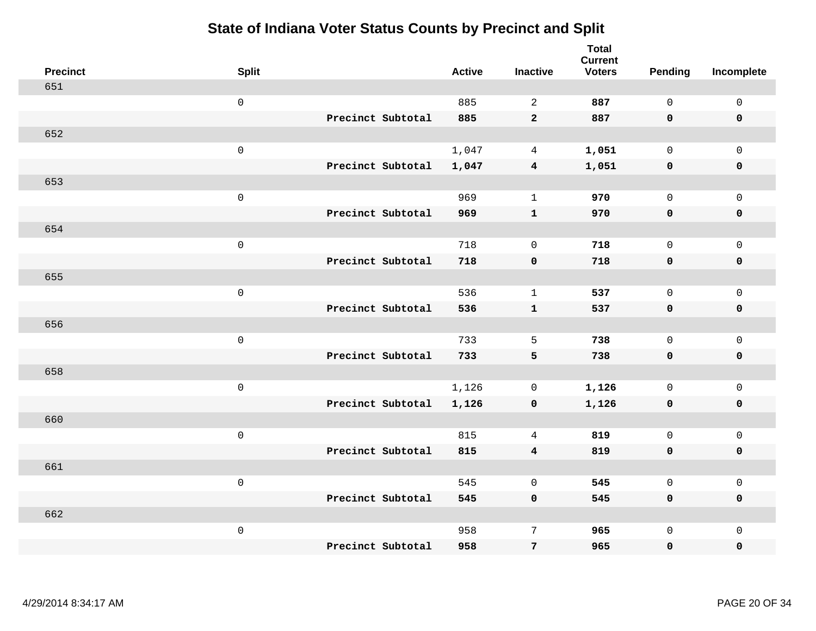|     | <b>Precinct</b> | <b>Split</b>        |                   | <b>Active</b> | <b>Inactive</b>         | <b>Total</b><br><b>Current</b><br><b>Voters</b> | Pending      | Incomplete          |
|-----|-----------------|---------------------|-------------------|---------------|-------------------------|-------------------------------------------------|--------------|---------------------|
| 651 |                 |                     |                   |               |                         |                                                 |              |                     |
|     |                 | $\mathsf{O}\xspace$ |                   | 885           | 2                       | 887                                             | $\mathsf{O}$ | $\mathbf 0$         |
|     |                 |                     | Precinct Subtotal | 885           | $\overline{2}$          | 887                                             | $\mathbf 0$  | $\mathbf 0$         |
| 652 |                 |                     |                   |               |                         |                                                 |              |                     |
|     |                 | $\mathsf 0$         |                   | 1,047         | $\overline{4}$          | 1,051                                           | $\mathbf 0$  | $\mathbf 0$         |
|     |                 |                     | Precinct Subtotal | 1,047         | $\overline{4}$          | 1,051                                           | $\mathbf 0$  | $\pmb{0}$           |
| 653 |                 |                     |                   |               |                         |                                                 |              |                     |
|     |                 | $\mathsf 0$         |                   | 969           | $\mathbf{1}$            | 970                                             | $\mathbf 0$  | $\mathbf 0$         |
|     |                 |                     | Precinct Subtotal | 969           | $\mathbf{1}$            | 970                                             | $\mathbf 0$  | $\mathbf 0$         |
| 654 |                 |                     |                   |               |                         |                                                 |              |                     |
|     |                 | $\mathsf 0$         |                   | 718           | $\mathbf 0$             | 718                                             | $\mathsf{O}$ | $\mathbf 0$         |
|     |                 |                     | Precinct Subtotal | 718           | $\mathbf 0$             | 718                                             | $\mathbf 0$  | $\mathbf 0$         |
| 655 |                 |                     |                   |               |                         |                                                 |              |                     |
|     |                 | $\mathsf 0$         |                   | 536           | $\mathbf{1}$            | 537                                             | $\mathbf 0$  | $\mathsf{O}\xspace$ |
|     |                 |                     | Precinct Subtotal | 536           | $\mathbf{1}$            | 537                                             | $\mathbf 0$  | $\mathbf 0$         |
| 656 |                 |                     |                   |               |                         |                                                 |              |                     |
|     |                 | $\mathsf 0$         |                   | 733           | 5                       | 738                                             | $\mathbf 0$  | $\mathsf{O}\xspace$ |
|     |                 |                     | Precinct Subtotal | 733           | ${\bf 5}$               | 738                                             | $\mathbf 0$  | $\mathbf 0$         |
| 658 |                 |                     |                   |               |                         |                                                 |              |                     |
|     |                 | $\mathbf 0$         |                   | 1,126         | 0                       | 1,126                                           | $\mathsf{O}$ | $\mathbf 0$         |
|     |                 |                     | Precinct Subtotal | 1,126         | 0                       | 1,126                                           | 0            | 0                   |
| 660 |                 |                     |                   |               |                         |                                                 |              |                     |
|     |                 | $\mathsf 0$         |                   | 815           | 4                       | 819                                             | $\mathbf 0$  | $\mathsf{O}\xspace$ |
|     |                 |                     | Precinct Subtotal | 815           | $\overline{\mathbf{4}}$ | 819                                             | $\mathbf 0$  | $\pmb{0}$           |
| 661 |                 |                     |                   |               |                         |                                                 |              |                     |
|     |                 | $\mathbf 0$         |                   | 545           | $\mathbf 0$             | 545                                             | $\mathbf 0$  | $\mathbf 0$         |
|     |                 |                     | Precinct Subtotal | 545           | $\mathbf 0$             | 545                                             | 0            | $\mathbf 0$         |
| 662 |                 |                     |                   |               |                         |                                                 |              |                     |
|     |                 | $\mathbf 0$         |                   | 958           | 7                       | 965                                             | $\mathsf{O}$ | $\mathbf 0$         |
|     |                 |                     | Precinct Subtotal | 958           | $\overline{7}$          | 965                                             | 0            | 0                   |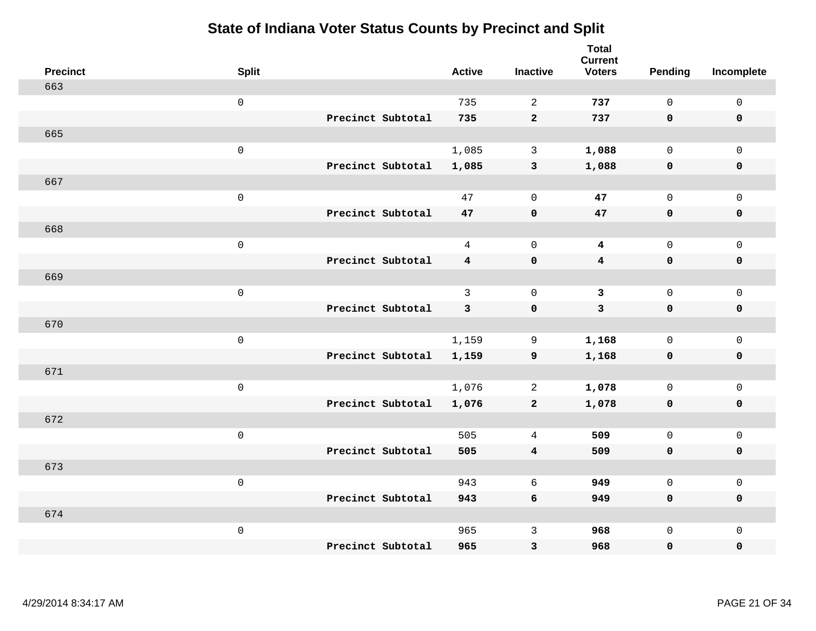| <b>Precinct</b> | <b>Split</b>        |                   | <b>Active</b>  | <b>Inactive</b>         | <b>Total</b><br><b>Current</b><br><b>Voters</b> | <b>Pending</b> | Incomplete          |
|-----------------|---------------------|-------------------|----------------|-------------------------|-------------------------------------------------|----------------|---------------------|
| 663             |                     |                   |                |                         |                                                 |                |                     |
|                 | $\mathsf{O}$        |                   | 735            | 2                       | 737                                             | $\mathbf 0$    | $\mathsf 0$         |
|                 |                     | Precinct Subtotal | 735            | $\overline{2}$          | 737                                             | $\mathbf 0$    | $\mathbf 0$         |
| 665             |                     |                   |                |                         |                                                 |                |                     |
|                 | $\mathsf{O}$        |                   | 1,085          | $\mathbf{3}$            | 1,088                                           | $\mathbf{0}$   | $\mathsf{O}$        |
|                 |                     | Precinct Subtotal | 1,085          | $\mathbf{3}$            | 1,088                                           | $\mathbf 0$    | 0                   |
| 667             |                     |                   |                |                         |                                                 |                |                     |
|                 | $\mathsf{O}\xspace$ |                   | 47             | $\mathbf 0$             | 47                                              | $\mathbf 0$    | $\mathsf{O}\xspace$ |
|                 |                     | Precinct Subtotal | 47             | $\mathbf 0$             | 47                                              | 0              | $\mathbf 0$         |
| 668             |                     |                   |                |                         |                                                 |                |                     |
|                 | $\mathsf{O}\xspace$ |                   | $\overline{4}$ | $\mathbf 0$             | $\overline{\mathbf{4}}$                         | $\mathbf 0$    | $\mathsf{O}$        |
|                 |                     | Precinct Subtotal | $\overline{4}$ | $\pmb{0}$               | $\overline{\mathbf{4}}$                         | 0              | 0                   |
| 669             |                     |                   |                |                         |                                                 |                |                     |
|                 | $\mathbf 0$         |                   | $\mathbf{3}$   | $\mathbf 0$             | $\mathbf{3}$                                    | $\mathbf 0$    | $\mathsf{O}\xspace$ |
|                 |                     | Precinct Subtotal | 3              | $\mathbf 0$             | $\mathbf{3}$                                    | 0              | 0                   |
| 670             |                     |                   |                |                         |                                                 |                |                     |
|                 | $\mathbf 0$         |                   | 1,159          | 9                       | 1,168                                           | $\mathbf 0$    | $\mathsf{O}\xspace$ |
|                 |                     | Precinct Subtotal | 1,159          | 9                       | 1,168                                           | $\mathbf 0$    | 0                   |
| 671             |                     |                   |                |                         |                                                 |                |                     |
|                 | $\mathbf 0$         |                   | 1,076          | $\overline{a}$          | 1,078                                           | $\mathbf 0$    | $\mathsf{O}$        |
|                 |                     | Precinct Subtotal | 1,076          | $\mathbf{2}$            | 1,078                                           | 0              | 0                   |
| 672             |                     |                   |                |                         |                                                 |                |                     |
|                 | $\mathbf 0$         |                   | 505            | 4                       | 509                                             | $\mathbf{0}$   | $\mathsf{O}\xspace$ |
|                 |                     | Precinct Subtotal | 505            | $\overline{\mathbf{4}}$ | 509                                             | 0              | 0                   |
| 673             |                     |                   |                |                         |                                                 |                |                     |
|                 | $\mathbf 0$         |                   | 943            | 6                       | 949                                             | $\mathbf{0}$   | $\mathsf{O}$        |
|                 |                     | Precinct Subtotal | 943            | 6                       | 949                                             | 0              | 0                   |
| 674             |                     |                   |                |                         |                                                 |                |                     |
|                 | $\mathbf 0$         |                   | 965            | $\mathsf{3}$            | 968                                             | $\mathsf{O}$   | $\mathsf{O}$        |
|                 |                     | Precinct Subtotal | 965            | 3                       | 968                                             | 0              | 0                   |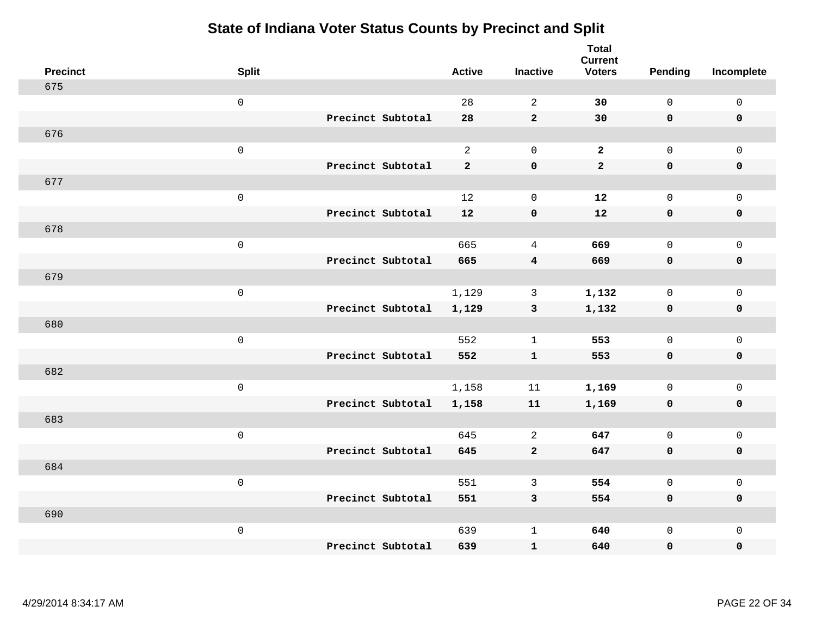| <b>Precinct</b> | <b>Split</b>        |                   | <b>Active</b>  | <b>Inactive</b>         | <b>Total</b><br><b>Current</b><br><b>Voters</b> | <b>Pending</b> | Incomplete          |
|-----------------|---------------------|-------------------|----------------|-------------------------|-------------------------------------------------|----------------|---------------------|
| 675             |                     |                   |                |                         |                                                 |                |                     |
|                 | $\mathsf{O}\xspace$ |                   | 28             | 2                       | 30                                              | $\mathsf{O}$   | $\mathsf 0$         |
|                 |                     | Precinct Subtotal | 28             | $\overline{a}$          | 30                                              | $\mathbf 0$    | $\mathbf 0$         |
| 676             |                     |                   |                |                         |                                                 |                |                     |
|                 | $\mathsf{O}\xspace$ |                   | 2              | $\mathbf 0$             | $\overline{2}$                                  | $\mathbf 0$    | $\mathbf{0}$        |
|                 |                     | Precinct Subtotal | $\overline{2}$ | $\mathbf 0$             | $\overline{a}$                                  | $\mathbf 0$    | $\pmb{0}$           |
| 677             |                     |                   |                |                         |                                                 |                |                     |
|                 | $\mathsf{O}\xspace$ |                   | 12             | $\mathbf 0$             | 12                                              | $\mathsf{O}$   | $\mathsf 0$         |
|                 |                     | Precinct Subtotal | 12             | $\pmb{0}$               | 12                                              | $\mathbf 0$    | $\mathbf 0$         |
| 678             |                     |                   |                |                         |                                                 |                |                     |
|                 | $\mathsf 0$         |                   | 665            | $\overline{4}$          | 669                                             | $\mathsf{O}$   | $\mathbf 0$         |
|                 |                     | Precinct Subtotal | 665            | $\overline{\mathbf{4}}$ | 669                                             | $\mathbf 0$    | $\pmb{0}$           |
| 679             |                     |                   |                |                         |                                                 |                |                     |
|                 | $\mathsf{O}\xspace$ |                   | 1,129          | $\mathbf{3}$            | 1,132                                           | $\mathbf 0$    | $\mathsf 0$         |
|                 |                     | Precinct Subtotal | 1,129          | $\mathbf{3}$            | 1,132                                           | $\mathbf 0$    | $\mathbf 0$         |
| 680             |                     |                   |                |                         |                                                 |                |                     |
|                 | $\mathsf 0$         |                   | 552            | $\mathbf{1}$            | 553                                             | $\mathsf{O}$   | $\mathbf 0$         |
|                 |                     | Precinct Subtotal | 552            | $\mathbf 1$             | 553                                             | $\mathbf 0$    | $\mathbf 0$         |
| 682             |                     |                   |                |                         |                                                 |                |                     |
|                 | $\mathsf 0$         |                   | 1,158          | 11                      | 1,169                                           | $\mathbf 0$    | $\mathsf{O}\xspace$ |
|                 |                     | Precinct Subtotal | 1,158          | 11                      | 1,169                                           | $\mathbf 0$    | $\mathbf 0$         |
| 683             |                     |                   |                |                         |                                                 |                |                     |
|                 | $\mathsf 0$         |                   | 645            | 2                       | 647                                             | $\mathsf{O}$   | $\mathbf 0$         |
|                 |                     | Precinct Subtotal | 645            | $\mathbf 2$             | 647                                             | 0              | $\pmb{0}$           |
| 684             |                     |                   |                |                         |                                                 |                |                     |
|                 | $\mathbf 0$         |                   | 551            | 3                       | 554                                             | $\mathbf 0$    | $\mathbf 0$         |
|                 |                     | Precinct Subtotal | 551            | $\mathbf{3}$            | 554                                             | $\mathbf 0$    | $\mathbf 0$         |
| 690             |                     |                   |                |                         |                                                 |                |                     |
|                 | $\mathbf 0$         |                   | 639            | $\mathbf{1}$            | 640                                             | $\mathsf{O}$   | $\mathbf 0$         |
|                 |                     | Precinct Subtotal | 639            | ${\bf 1}$               | 640                                             | 0              | 0                   |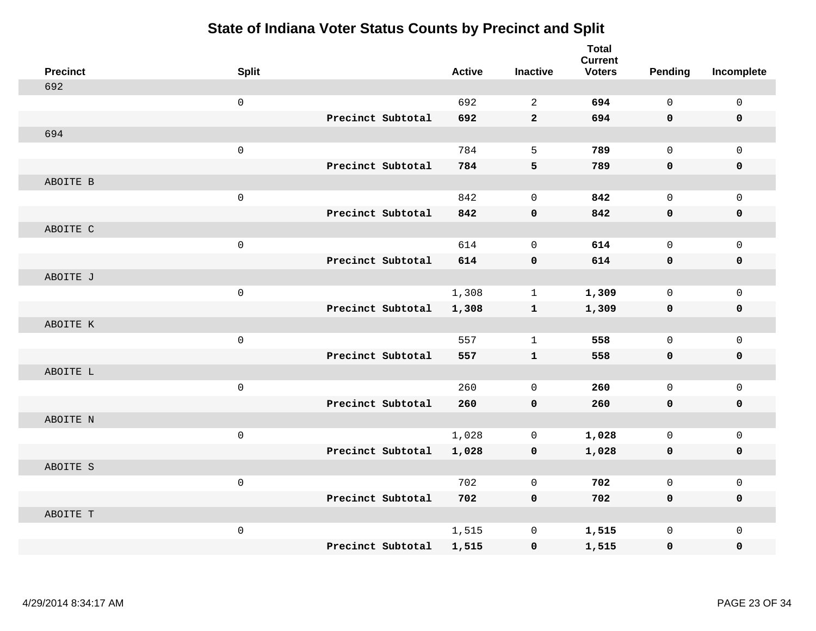| <b>Precinct</b> | <b>Split</b> |                   | <b>Active</b> | <b>Inactive</b> | <b>Total</b><br><b>Current</b><br><b>Voters</b> | <b>Pending</b> | Incomplete          |
|-----------------|--------------|-------------------|---------------|-----------------|-------------------------------------------------|----------------|---------------------|
| 692             |              |                   |               |                 |                                                 |                |                     |
|                 | $\mathsf 0$  |                   | 692           | $\overline{2}$  | 694                                             | $\mathsf{O}$   | $\mathsf 0$         |
|                 |              | Precinct Subtotal | 692           | $\mathbf{2}$    | 694                                             | 0              | 0                   |
| 694             |              |                   |               |                 |                                                 |                |                     |
|                 | $\mathsf 0$  |                   | 784           | 5               | 789                                             | $\mathbf 0$    | $\mathbf 0$         |
|                 |              | Precinct Subtotal | 784           | 5               | 789                                             | 0              | 0                   |
| ABOITE B        |              |                   |               |                 |                                                 |                |                     |
|                 | $\mathsf 0$  |                   | 842           | $\mathbf 0$     | 842                                             | $\mathbf 0$    | $\mathsf 0$         |
|                 |              | Precinct Subtotal | 842           | $\mathbf 0$     | 842                                             | $\mathbf 0$    | $\pmb{0}$           |
| ABOITE C        |              |                   |               |                 |                                                 |                |                     |
|                 | $\mathsf 0$  |                   | 614           | $\mathbf 0$     | 614                                             | $\mathbf 0$    | $\mathbf 0$         |
|                 |              | Precinct Subtotal | 614           | $\pmb{0}$       | 614                                             | $\mathbf 0$    | $\pmb{0}$           |
| ABOITE J        |              |                   |               |                 |                                                 |                |                     |
|                 | $\mathsf 0$  |                   | 1,308         | $\mathbf{1}$    | 1,309                                           | $\mathbf 0$    | $\mathbf 0$         |
|                 |              | Precinct Subtotal | 1,308         | $\mathbf{1}$    | 1,309                                           | 0              | $\mathbf 0$         |
| ABOITE K        |              |                   |               |                 |                                                 |                |                     |
|                 | $\mathsf 0$  |                   | 557           | $\mathbf{1}$    | 558                                             | $\mathbf 0$    | $\mathsf{O}\xspace$ |
|                 |              | Precinct Subtotal | 557           | ${\bf 1}$       | 558                                             | $\mathbf 0$    | $\pmb{0}$           |
| ABOITE L        |              |                   |               |                 |                                                 |                |                     |
|                 | $\mathsf 0$  |                   | 260           | $\mathbf 0$     | 260                                             | $\mathbf 0$    | $\mathbf 0$         |
|                 |              | Precinct Subtotal | 260           | $\mathbf 0$     | 260                                             | $\mathbf 0$    | $\mathbf 0$         |
| ABOITE N        |              |                   |               |                 |                                                 |                |                     |
|                 | $\mathsf 0$  |                   | 1,028         | $\mathbf 0$     | 1,028                                           | $\mathsf{O}$   | $\mathbf 0$         |
|                 |              | Precinct Subtotal | 1,028         | $\mathbf 0$     | 1,028                                           | 0              | 0                   |
| ABOITE S        |              |                   |               |                 |                                                 |                |                     |
|                 | $\mathsf 0$  |                   | 702           | $\mathbf 0$     | 702                                             | $\mathbf 0$    | $\mathsf{O}\xspace$ |
|                 |              | Precinct Subtotal | 702           | $\mathbf 0$     | 702                                             | 0              | 0                   |
| ABOITE T        |              |                   |               |                 |                                                 |                |                     |
|                 | $\mathsf 0$  |                   | 1,515         | $\mathbf 0$     | 1,515                                           | $\mathsf{O}$   | $\mathbf 0$         |
|                 |              | Precinct Subtotal | 1,515         | $\mathbf 0$     | 1,515                                           | 0              | 0                   |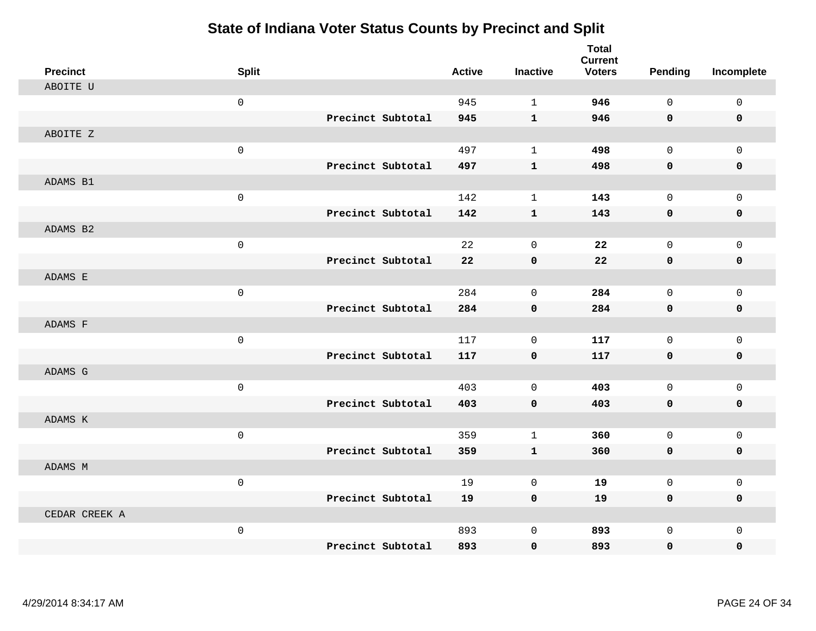| <b>Precinct</b> | <b>Split</b>        |                   | <b>Active</b> | <b>Inactive</b> | <b>Total</b><br><b>Current</b><br><b>Voters</b> | <b>Pending</b> | Incomplete   |
|-----------------|---------------------|-------------------|---------------|-----------------|-------------------------------------------------|----------------|--------------|
| ABOITE U        |                     |                   |               |                 |                                                 |                |              |
|                 | $\mathbf 0$         |                   | 945           | $\mathbf{1}$    | 946                                             | $\Omega$       | $\mathbf 0$  |
|                 |                     | Precinct Subtotal | 945           | $\mathbf{1}$    | 946                                             | $\mathbf 0$    | $\mathbf 0$  |
| ABOITE Z        |                     |                   |               |                 |                                                 |                |              |
|                 | $\mathsf 0$         |                   | 497           | $\mathbf{1}$    | 498                                             | $\mathbf 0$    | $\mathbf{0}$ |
|                 |                     | Precinct Subtotal | 497           | $\mathbf{1}$    | 498                                             | $\mathbf 0$    | 0            |
| ADAMS B1        |                     |                   |               |                 |                                                 |                |              |
|                 | $\mathbf 0$         |                   | 142           | $\mathbf{1}$    | 143                                             | $\mathbf 0$    | $\mathbf 0$  |
|                 |                     | Precinct Subtotal | 142           | $\mathbf{1}$    | 143                                             | 0              | $\mathbf 0$  |
| ADAMS B2        |                     |                   |               |                 |                                                 |                |              |
|                 | $\mathsf 0$         |                   | 22            | $\mathbf 0$     | 22                                              | $\mathbf 0$    | $\mathbf 0$  |
|                 |                     | Precinct Subtotal | 22            | $\pmb{0}$       | 22                                              | $\mathbf 0$    | 0            |
| ADAMS E         |                     |                   |               |                 |                                                 |                |              |
|                 | $\mathsf{O}\xspace$ |                   | 284           | $\mathbf 0$     | 284                                             | $\mathbf 0$    | $\mathbf 0$  |
|                 |                     | Precinct Subtotal | 284           | $\mathbf 0$     | 284                                             | $\mathbf 0$    | $\mathbf 0$  |
| ADAMS F         |                     |                   |               |                 |                                                 |                |              |
|                 | $\mathbf 0$         |                   | 117           | $\mathbf 0$     | 117                                             | $\mathbf 0$    | $\mathbf 0$  |
|                 |                     | Precinct Subtotal | 117           | $\mathbf 0$     | 117                                             | $\mathbf 0$    | 0            |
| ADAMS G         |                     |                   |               |                 |                                                 |                |              |
|                 | $\mathsf{O}\xspace$ |                   | 403           | $\mathbf 0$     | 403                                             | $\mathbf 0$    | $\mathsf 0$  |
|                 |                     | Precinct Subtotal | 403           | $\mathbf 0$     | 403                                             | 0              | 0            |
| ADAMS K         |                     |                   |               |                 |                                                 |                |              |
|                 | $\mathbf 0$         |                   | 359           | $\mathbf{1}$    | 360                                             | $\mathbf 0$    | $\mathbf 0$  |
|                 |                     | Precinct Subtotal | 359           | $\mathbf{1}$    | 360                                             | $\mathbf 0$    | 0            |
| ADAMS M         |                     |                   |               |                 |                                                 |                |              |
|                 | $\mathbf 0$         |                   | 19            | $\mathbf 0$     | 19                                              | $\mathbf 0$    | $\mathbf 0$  |
|                 |                     | Precinct Subtotal | 19            | $\mathbf 0$     | 19                                              | $\mathbf 0$    | 0            |
| CEDAR CREEK A   |                     |                   |               |                 |                                                 |                |              |
|                 | $\mathbf 0$         |                   | 893           | $\mathsf 0$     | 893                                             | $\mathbf 0$    | $\mathsf 0$  |
|                 |                     | Precinct Subtotal | 893           | 0               | 893                                             | $\mathbf 0$    | 0            |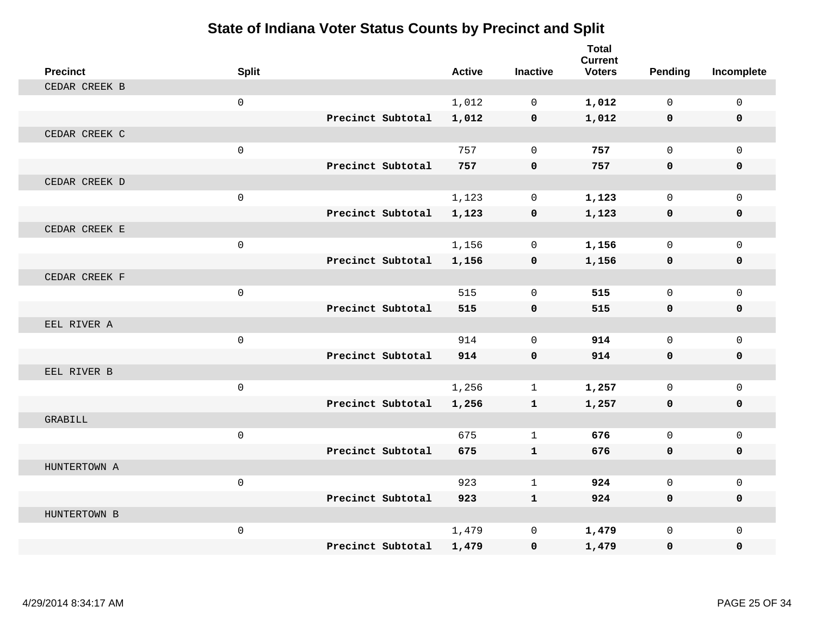| <b>Precinct</b> | <b>Split</b> |                   | <b>Active</b> | <b>Inactive</b> | <b>Total</b><br><b>Current</b><br><b>Voters</b> | Pending      | Incomplete  |
|-----------------|--------------|-------------------|---------------|-----------------|-------------------------------------------------|--------------|-------------|
| CEDAR CREEK B   |              |                   |               |                 |                                                 |              |             |
|                 | $\mathbf 0$  |                   | 1,012         | $\Omega$        | 1,012                                           | $\Omega$     | $\mathbf 0$ |
|                 |              | Precinct Subtotal | 1,012         | $\mathbf 0$     | 1,012                                           | $\mathbf 0$  | $\mathbf 0$ |
| CEDAR CREEK C   |              |                   |               |                 |                                                 |              |             |
|                 | $\mathsf 0$  |                   | 757           | $\mathbf 0$     | 757                                             | $\mathbf 0$  | $\mathbf 0$ |
|                 |              | Precinct Subtotal | 757           | $\mathbf 0$     | 757                                             | $\mathbf{0}$ | 0           |
| CEDAR CREEK D   |              |                   |               |                 |                                                 |              |             |
|                 | $\mathsf 0$  |                   | 1,123         | $\mathbf 0$     | 1,123                                           | $\mathbf 0$  | $\mathbf 0$ |
|                 |              | Precinct Subtotal | 1,123         | 0               | 1,123                                           | $\mathbf 0$  | 0           |
| CEDAR CREEK E   |              |                   |               |                 |                                                 |              |             |
|                 | $\mathsf{O}$ |                   | 1,156         | $\mathbf 0$     | 1,156                                           | $\mathbf{0}$ | $\mathbf 0$ |
|                 |              | Precinct Subtotal | 1,156         | $\mathbf 0$     | 1,156                                           | 0            | 0           |
| CEDAR CREEK F   |              |                   |               |                 |                                                 |              |             |
|                 | $\mathbf 0$  |                   | 515           | $\Omega$        | 515                                             | $\Omega$     | $\mathbf 0$ |
|                 |              | Precinct Subtotal | 515           | $\mathbf 0$     | 515                                             | $\mathbf{0}$ | 0           |
| EEL RIVER A     |              |                   |               |                 |                                                 |              |             |
|                 | $\mathsf{O}$ |                   | 914           | $\mathbf 0$     | 914                                             | $\mathbf{0}$ | $\mathbf 0$ |
|                 |              | Precinct Subtotal | 914           | $\mathbf 0$     | 914                                             | $\mathbf{0}$ | 0           |
| EEL RIVER B     |              |                   |               |                 |                                                 |              |             |
|                 | $\mathsf{O}$ |                   | 1,256         | $\mathbf{1}$    | 1,257                                           | $\mathbf{0}$ | $\mathbf 0$ |
|                 |              | Precinct Subtotal | 1,256         | $\mathbf{1}$    | 1,257                                           | 0            | 0           |
| <b>GRABILL</b>  |              |                   |               |                 |                                                 |              |             |
|                 | $\mathsf 0$  |                   | 675           | $\mathbf{1}$    | 676                                             | $\Omega$     | $\mathbf 0$ |
|                 |              | Precinct Subtotal | 675           | $\mathbf{1}$    | 676                                             | $\mathbf 0$  | 0           |
| HUNTERTOWN A    |              |                   |               |                 |                                                 |              |             |
|                 | $\mathbf 0$  |                   | 923           | 1               | 924                                             | $\Omega$     | $\Omega$    |
|                 |              | Precinct Subtotal | 923           | $\mathbf{1}$    | 924                                             | 0            | 0           |
| HUNTERTOWN B    |              |                   |               |                 |                                                 |              |             |
|                 | $\mathsf{O}$ |                   | 1,479         | $\mathbf 0$     | 1,479                                           | $\mathbf 0$  | $\mathbf 0$ |
|                 |              | Precinct Subtotal | 1,479         | $\mathbf 0$     | 1,479                                           | 0            | $\Omega$    |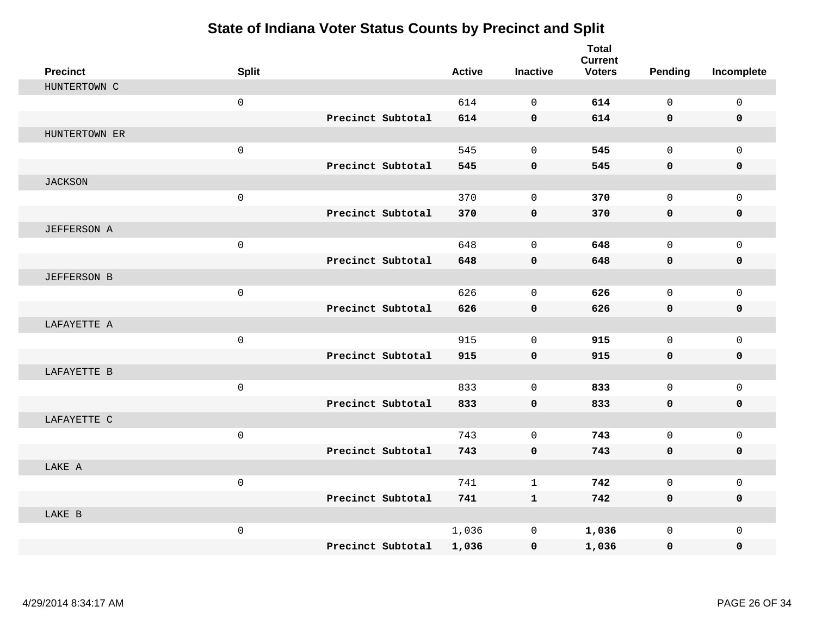| <b>Precinct</b>    | <b>Split</b>        |                   | <b>Active</b> | <b>Inactive</b>     | <b>Total</b><br><b>Current</b><br><b>Voters</b> | <b>Pending</b>      | Incomplete   |
|--------------------|---------------------|-------------------|---------------|---------------------|-------------------------------------------------|---------------------|--------------|
| HUNTERTOWN C       |                     |                   |               |                     |                                                 |                     |              |
|                    | $\mathsf{O}\xspace$ |                   | 614           | $\mathbf 0$         | 614                                             | $\mathsf{O}$        | $\mathsf{O}$ |
|                    |                     | Precinct Subtotal | 614           | $\mathbf 0$         | 614                                             | $\mathbf 0$         | 0            |
| HUNTERTOWN ER      |                     |                   |               |                     |                                                 |                     |              |
|                    | $\mathsf{O}$        |                   | 545           | $\mathsf{O}\xspace$ | 545                                             | $\mathsf{O}$        | $\mathsf{O}$ |
|                    |                     | Precinct Subtotal | 545           | $\mathbf 0$         | 545                                             | 0                   | 0            |
| <b>JACKSON</b>     |                     |                   |               |                     |                                                 |                     |              |
|                    | $\mathsf 0$         |                   | 370           | $\mathbf 0$         | 370                                             | $\mathsf{O}$        | $\mathbf 0$  |
|                    |                     | Precinct Subtotal | 370           | $\mathbf 0$         | 370                                             | 0                   | 0            |
| JEFFERSON A        |                     |                   |               |                     |                                                 |                     |              |
|                    | $\mathsf{O}\xspace$ |                   | 648           | $\mathbf 0$         | 648                                             | $\mathbf{0}$        | $\mathbf 0$  |
|                    |                     | Precinct Subtotal | 648           | $\pmb{0}$           | 648                                             | 0                   | 0            |
| <b>JEFFERSON B</b> |                     |                   |               |                     |                                                 |                     |              |
|                    | $\mathsf{O}\xspace$ |                   | 626           | $\Omega$            | 626                                             | $\Omega$            | $\mathsf{O}$ |
|                    |                     | Precinct Subtotal | 626           | $\mathbf 0$         | 626                                             | $\mathbf 0$         | 0            |
| LAFAYETTE A        |                     |                   |               |                     |                                                 |                     |              |
|                    | $\mathsf{O}\xspace$ |                   | 915           | $\mathbf 0$         | 915                                             | $\mathbf 0$         | $\mathbf{0}$ |
|                    |                     | Precinct Subtotal | 915           | $\mathbf 0$         | 915                                             | 0                   | 0            |
| LAFAYETTE B        |                     |                   |               |                     |                                                 |                     |              |
|                    | $\mathbf 0$         |                   | 833           | $\Omega$            | 833                                             | $\Omega$            | $\mathbf 0$  |
|                    |                     | Precinct Subtotal | 833           | $\mathbf 0$         | 833                                             | $\mathbf 0$         | $\mathbf 0$  |
| LAFAYETTE C        |                     |                   |               |                     |                                                 |                     |              |
|                    | $\mathsf{O}\xspace$ |                   | 743           | $\mathbf 0$         | 743                                             | $\mathbf 0$         | $\mathbf{0}$ |
|                    |                     | Precinct Subtotal | 743           | $\mathbf 0$         | 743                                             | 0                   | 0            |
| LAKE A             |                     |                   |               |                     |                                                 |                     |              |
|                    | $\mathbf 0$         |                   | 741           | $\mathbf{1}$        | 742                                             | $\mathbf 0$         | $\mathbf 0$  |
|                    |                     | Precinct Subtotal | 741           | $\mathbf{1}$        | 742                                             | $\mathbf 0$         | 0            |
| LAKE B             |                     |                   |               |                     |                                                 |                     |              |
|                    | $\mathsf{O}\xspace$ |                   | 1,036         | 0                   | 1,036                                           | $\mathsf{O}\xspace$ | $\mathbf 0$  |
|                    |                     | Precinct Subtotal | 1,036         | $\mathbf 0$         | 1,036                                           | 0                   | 0            |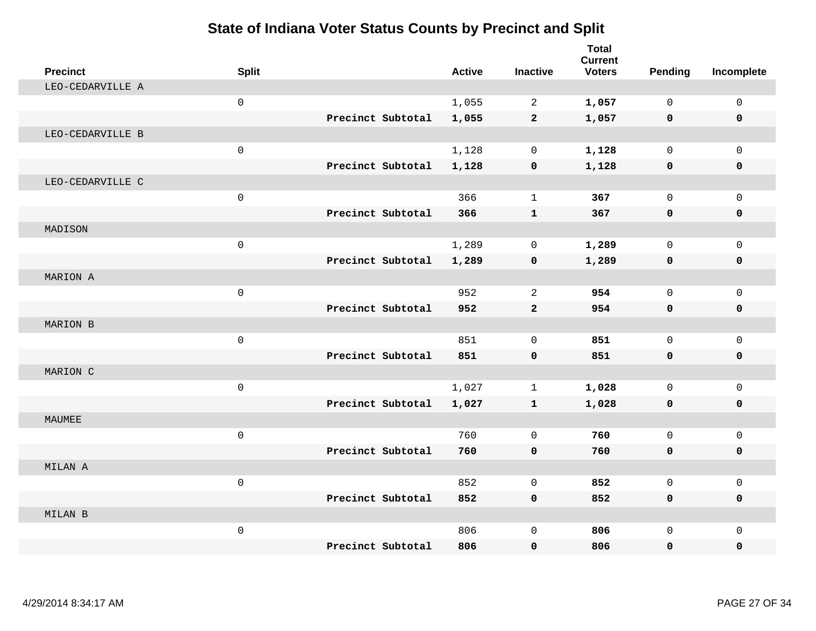| <b>Precinct</b>  | <b>Split</b> |                   | <b>Active</b> | <b>Inactive</b> | <b>Total</b><br><b>Current</b><br><b>Voters</b> | Pending      | Incomplete   |
|------------------|--------------|-------------------|---------------|-----------------|-------------------------------------------------|--------------|--------------|
| LEO-CEDARVILLE A |              |                   |               |                 |                                                 |              |              |
|                  | $\mathsf{O}$ |                   | 1,055         | $\overline{2}$  | 1,057                                           | $\Omega$     | $\mathbf 0$  |
|                  |              | Precinct Subtotal | 1,055         | $\overline{2}$  | 1,057                                           | $\mathbf 0$  | $\mathbf 0$  |
| LEO-CEDARVILLE B |              |                   |               |                 |                                                 |              |              |
|                  | $\mathsf{O}$ |                   | 1,128         | $\mathbf 0$     | 1,128                                           | $\mathbf{0}$ | $\Omega$     |
|                  |              | Precinct Subtotal | 1,128         | 0               | 1,128                                           | $\mathbf 0$  | $\mathbf 0$  |
| LEO-CEDARVILLE C |              |                   |               |                 |                                                 |              |              |
|                  | $\mathsf 0$  |                   | 366           | $\mathbf{1}$    | 367                                             | $\Omega$     | $\Omega$     |
|                  |              | Precinct Subtotal | 366           | $\mathbf{1}$    | 367                                             | $\mathbf 0$  | $\mathbf 0$  |
| MADISON          |              |                   |               |                 |                                                 |              |              |
|                  | $\mathsf{O}$ |                   | 1,289         | $\mathbf 0$     | 1,289                                           | 0            | $\mathbf 0$  |
|                  |              | Precinct Subtotal | 1,289         | $\mathbf 0$     | 1,289                                           | $\mathbf 0$  | 0            |
| MARION A         |              |                   |               |                 |                                                 |              |              |
|                  | $\mathsf{O}$ |                   | 952           | 2               | 954                                             | 0            | $\mathbf{0}$ |
|                  |              | Precinct Subtotal | 952           | $\overline{2}$  | 954                                             | 0            | $\mathbf 0$  |
| MARION B         |              |                   |               |                 |                                                 |              |              |
|                  | $\mathsf{O}$ |                   | 851           | $\Omega$        | 851                                             | 0            | $\Omega$     |
|                  |              | Precinct Subtotal | 851           | $\mathbf 0$     | 851                                             | $\mathbf 0$  | $\mathbf 0$  |
| MARION C         |              |                   |               |                 |                                                 |              |              |
|                  | $\mathsf{O}$ |                   | 1,027         | $\mathbf 1$     | 1,028                                           | 0            | $\mathbf 0$  |
|                  |              | Precinct Subtotal | 1,027         | $\mathbf{1}$    | 1,028                                           | $\mathbf 0$  | $\mathbf 0$  |
| MAUMEE           |              |                   |               |                 |                                                 |              |              |
|                  | $\mathsf{O}$ |                   | 760           | $\mathbf 0$     | 760                                             | 0            | $\mathbf 0$  |
|                  |              | Precinct Subtotal | 760           | $\mathbf 0$     | 760                                             | $\mathbf 0$  | 0            |
| MILAN A          |              |                   |               |                 |                                                 |              |              |
|                  | $\mathbf 0$  |                   | 852           | $\Omega$        | 852                                             | 0            | $\mathbf 0$  |
|                  |              | Precinct Subtotal | 852           | $\mathbf 0$     | 852                                             | 0            | 0            |
| MILAN B          |              |                   |               |                 |                                                 |              |              |
|                  | $\mathsf{O}$ |                   | 806           | $\mathbf 0$     | 806                                             | 0            | $\mathbf 0$  |
|                  |              | Precinct Subtotal | 806           | $\mathbf 0$     | 806                                             | 0            | $\mathbf 0$  |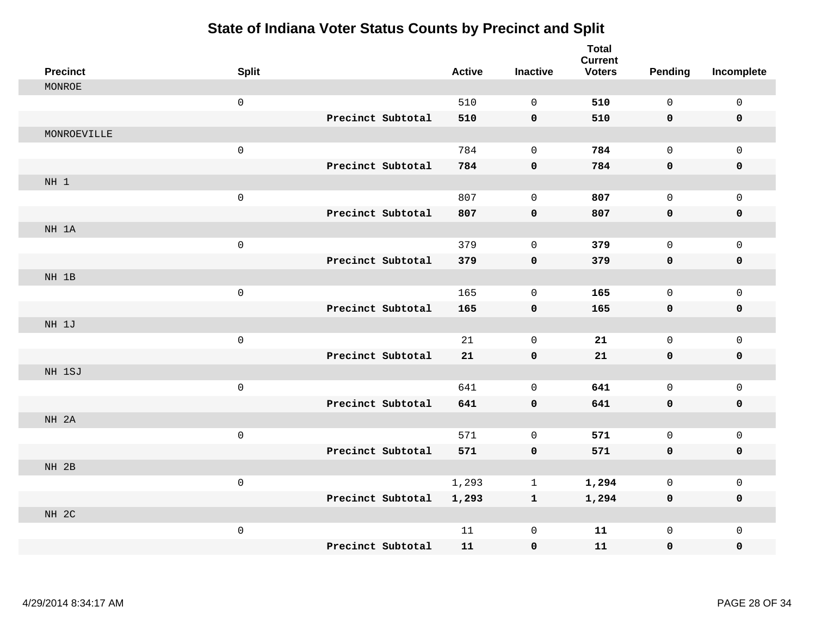| <b>Precinct</b> | <b>Split</b>        |                   | <b>Active</b> | <b>Inactive</b> | <b>Total</b><br><b>Current</b><br><b>Voters</b> | <b>Pending</b> | Incomplete   |
|-----------------|---------------------|-------------------|---------------|-----------------|-------------------------------------------------|----------------|--------------|
| MONROE          |                     |                   |               |                 |                                                 |                |              |
|                 | $\mathsf 0$         |                   | 510           | $\mathbf 0$     | 510                                             | 0              | $\mathsf{O}$ |
|                 |                     | Precinct Subtotal | 510           | $\mathbf 0$     | 510                                             | 0              | 0            |
| MONROEVILLE     |                     |                   |               |                 |                                                 |                |              |
|                 | $\mathsf 0$         |                   | 784           | $\mathbf{0}$    | 784                                             | $\mathbf 0$    | $\mathbf 0$  |
|                 |                     | Precinct Subtotal | 784           | 0               | 784                                             | 0              | 0            |
| NH 1            |                     |                   |               |                 |                                                 |                |              |
|                 | $\mathsf{O}\xspace$ |                   | 807           | $\mathbf{0}$    | 807                                             | 0              | $\mathsf{O}$ |
|                 |                     | Precinct Subtotal | 807           | $\pmb{0}$       | 807                                             | 0              | 0            |
| NH 1A           |                     |                   |               |                 |                                                 |                |              |
|                 | $\mathsf 0$         |                   | 379           | $\mathsf{O}$    | 379                                             | 0              | $\mathsf{O}$ |
|                 |                     | Precinct Subtotal | 379           | $\pmb{0}$       | 379                                             | $\mathbf 0$    | $\pmb{0}$    |
| NH 1B           |                     |                   |               |                 |                                                 |                |              |
|                 | $\mathsf{O}\xspace$ |                   | 165           | $\mathbf 0$     | 165                                             | $\mathbf 0$    | $\mathsf{O}$ |
|                 |                     | Precinct Subtotal | 165           | 0               | 165                                             | 0              | 0            |
| NH 1J           |                     |                   |               |                 |                                                 |                |              |
|                 | $\mathsf{O}\xspace$ |                   | 21            | 0               | 21                                              | 0              | $\mathsf{O}$ |
|                 |                     | Precinct Subtotal | 21            | $\pmb{0}$       | 21                                              | 0              | 0            |
| NH 1SJ          |                     |                   |               |                 |                                                 |                |              |
|                 | $\mathsf{O}\xspace$ |                   | 641           | $\mathbf 0$     | 641                                             | $\mathbf 0$    | $\mathsf{O}$ |
|                 |                     | Precinct Subtotal | 641           | $\mathbf 0$     | 641                                             | 0              | 0            |
| NH 2A           |                     |                   |               |                 |                                                 |                |              |
|                 | $\mathsf{O}\xspace$ |                   | 571           | $\mathbf 0$     | 571                                             | 0              | $\mathsf{O}$ |
|                 |                     | Precinct Subtotal | 571           | $\pmb{0}$       | 571                                             | 0              | 0            |
| NH 2B           |                     |                   |               |                 |                                                 |                |              |
|                 | $\mathsf{O}$        |                   | 1,293         | $\mathbf 1$     | 1,294                                           | 0              | $\mathsf{O}$ |
|                 |                     | Precinct Subtotal | 1,293         | $\mathbf{1}$    | 1,294                                           | 0              | 0            |
| NH 2C           |                     |                   |               |                 |                                                 |                |              |
|                 | $\mathsf{O}\xspace$ |                   | 11            | 0               | ${\bf 11}$                                      | 0              | $\mathsf{O}$ |
|                 |                     | Precinct Subtotal | 11            | $\mathbf 0$     | 11                                              | 0              | $\mathbf 0$  |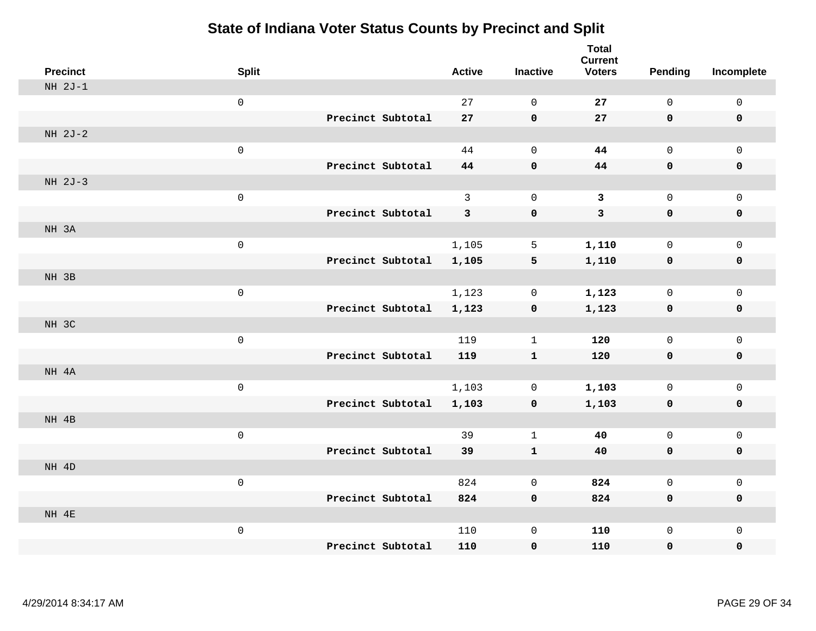| <b>Precinct</b> | <b>Split</b>        |                   | <b>Active</b> | <b>Inactive</b> | <b>Total</b><br><b>Current</b><br><b>Voters</b> | <b>Pending</b> | Incomplete          |
|-----------------|---------------------|-------------------|---------------|-----------------|-------------------------------------------------|----------------|---------------------|
| $NH 2J-1$       |                     |                   |               |                 |                                                 |                |                     |
|                 | $\mathsf{O}\xspace$ |                   | 27            | $\mathbf 0$     | 27                                              | $\mathsf 0$    | $\mathsf 0$         |
|                 |                     | Precinct Subtotal | 27            | $\mathbf 0$     | 27                                              | $\mathbf 0$    | $\mathbf 0$         |
| NH 2J-2         |                     |                   |               |                 |                                                 |                |                     |
|                 | $\mathsf 0$         |                   | 44            | $\mathbf 0$     | 44                                              | $\mathbf 0$    | $\mathbf{0}$        |
|                 |                     | Precinct Subtotal | 44            | $\pmb{0}$       | 44                                              | $\mathbf 0$    | 0                   |
| NH 2J-3         |                     |                   |               |                 |                                                 |                |                     |
|                 | $\mathsf{O}\xspace$ |                   | $\mathbf{3}$  | $\mathbf 0$     | $\mathbf{3}$                                    | $\mathsf 0$    | $\mathsf 0$         |
|                 |                     | Precinct Subtotal | 3             | $\pmb{0}$       | $\mathbf{3}$                                    | 0              | $\mathbf 0$         |
| NH 3A           |                     |                   |               |                 |                                                 |                |                     |
|                 | $\mathsf 0$         |                   | 1,105         | 5               | 1,110                                           | $\mathsf{O}$   | $\mathbf 0$         |
|                 |                     | Precinct Subtotal | 1,105         | $\mathbf 5$     | 1,110                                           | 0              | $\pmb{0}$           |
| NH 3B           |                     |                   |               |                 |                                                 |                |                     |
|                 | $\mathsf{O}\xspace$ |                   | 1,123         | $\mathbf 0$     | 1,123                                           | $\mathsf{O}$   | $\mathsf{O}\xspace$ |
|                 |                     | Precinct Subtotal | 1,123         | $\pmb{0}$       | 1,123                                           | $\mathbf 0$    | $\pmb{0}$           |
| NH 3C           |                     |                   |               |                 |                                                 |                |                     |
|                 | $\mathsf 0$         |                   | 119           | $1\,$           | 120                                             | $\mathsf{O}$   | $\mathbf 0$         |
|                 |                     | Precinct Subtotal | 119           | $\mathbf{1}$    | 120                                             | $\mathbf 0$    | $\mathbf 0$         |
| NH 4A           |                     |                   |               |                 |                                                 |                |                     |
|                 | $\mathsf 0$         |                   | 1,103         | $\mathbf 0$     | 1,103                                           | $\mathbf 0$    | $\mathsf 0$         |
|                 |                     | Precinct Subtotal | 1,103         | $\mathbf 0$     | 1,103                                           | 0              | $\mathbf 0$         |
| NH 4B           |                     |                   |               |                 |                                                 |                |                     |
|                 | $\mathsf 0$         |                   | 39            | $\mathbf 1$     | 40                                              | $\mathbf 0$    | $\mathbf 0$         |
|                 |                     | Precinct Subtotal | 39            | ${\bf 1}$       | 40                                              | $\mathbf 0$    | 0                   |
| NH 4D           |                     |                   |               |                 |                                                 |                |                     |
|                 | $\mathsf 0$         |                   | 824           | $\mathbf 0$     | 824                                             | $\mathsf{O}$   | $\mathbf 0$         |
|                 |                     | Precinct Subtotal | 824           | $\mathbf 0$     | 824                                             | 0              | $\pmb{0}$           |
| NH 4E           |                     |                   |               |                 |                                                 |                |                     |
|                 | $\mathsf 0$         | Precinct Subtotal | 110           | $\mathsf 0$     | 110                                             | $\mathsf{O}$   | $\mathbf 0$         |
|                 |                     |                   | 110           | 0               | 110                                             | $\mathbf 0$    | 0                   |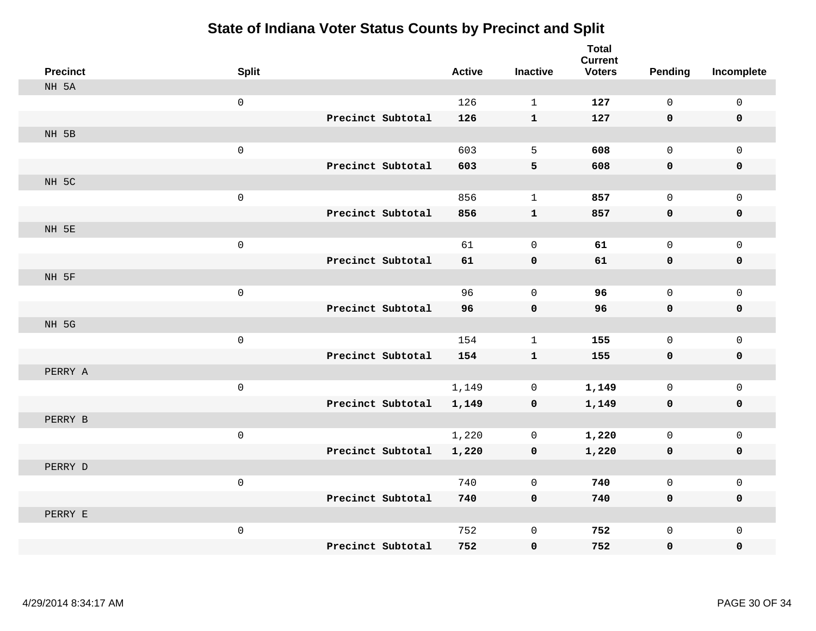| <b>Precinct</b> | <b>Split</b>        |                   |                   | <b>Active</b> | <b>Inactive</b> | <b>Total</b><br><b>Current</b><br><b>Voters</b> | <b>Pending</b> | Incomplete   |
|-----------------|---------------------|-------------------|-------------------|---------------|-----------------|-------------------------------------------------|----------------|--------------|
| NH 5A           |                     |                   |                   |               |                 |                                                 |                |              |
|                 | $\mathsf{O}\xspace$ |                   |                   | 126           | $\mathbf 1$     | 127                                             | $\mathsf{O}$   | $\mathsf{O}$ |
|                 |                     | Precinct Subtotal |                   | 126           | $\mathbf{1}$    | 127                                             | $\mathbf 0$    | $\mathbf 0$  |
| NH 5B           |                     |                   |                   |               |                 |                                                 |                |              |
|                 | $\mathsf{O}\xspace$ |                   |                   | 603           | 5               | 608                                             | $\mathbf 0$    | $\mathbf 0$  |
|                 |                     |                   | Precinct Subtotal | 603           | 5               | 608                                             | 0              | $\mathbf 0$  |
| NH 5C           |                     |                   |                   |               |                 |                                                 |                |              |
|                 | $\mathsf{O}\xspace$ |                   |                   | 856           | $\mathbf{1}$    | 857                                             | 0              | $\mathbf 0$  |
|                 |                     | Precinct Subtotal |                   | 856           | $\mathbf{1}$    | 857                                             | $\mathbf 0$    | $\mathbf 0$  |
| NH 5E           |                     |                   |                   |               |                 |                                                 |                |              |
|                 | $\mathsf{O}\xspace$ |                   |                   | 61            | 0               | 61                                              | 0              | $\mathsf{O}$ |
|                 |                     |                   | Precinct Subtotal | 61            | 0               | 61                                              | $\mathbf 0$    | $\pmb{0}$    |
| NH 5F           |                     |                   |                   |               |                 |                                                 |                |              |
|                 | $\mathsf{O}\xspace$ |                   |                   | 96            | $\mathbf 0$     | 96                                              | 0              | $\mathbf 0$  |
|                 |                     | Precinct Subtotal |                   | 96            | $\mathbf 0$     | 96                                              | $\mathbf 0$    | $\mathbf 0$  |
| NH 5G           |                     |                   |                   |               |                 |                                                 |                |              |
|                 | $\mathsf{O}\xspace$ |                   |                   | 154           | $\mathbf 1$     | 155                                             | 0              | $\mathbf 0$  |
|                 |                     |                   | Precinct Subtotal | 154           | $\mathbf{1}$    | 155                                             | $\mathbf 0$    | $\mathbf 0$  |
| PERRY A         |                     |                   |                   |               |                 |                                                 |                |              |
|                 | $\mathsf{O}\xspace$ |                   |                   | 1,149         | $\mathsf{O}$    | 1,149                                           | 0              | $\mathsf{O}$ |
|                 |                     |                   | Precinct Subtotal | 1,149         | 0               | 1,149                                           | $\mathbf 0$    | 0            |
| PERRY B         |                     |                   |                   |               |                 |                                                 |                |              |
|                 | $\mathsf{O}\xspace$ |                   |                   | 1,220         | $\mathbf 0$     | 1,220                                           | 0              | $\mathsf{O}$ |
|                 |                     |                   | Precinct Subtotal | 1,220         | 0               | 1,220                                           | 0              | $\mathbf 0$  |
| PERRY D         |                     |                   |                   |               |                 |                                                 |                |              |
|                 | $\mathbf 0$         |                   |                   | 740           | $\mathbf 0$     | 740                                             | 0              | $\mathbf 0$  |
|                 |                     | Precinct Subtotal |                   | 740           | $\mathbf 0$     | 740                                             | 0              | $\mathbf 0$  |
| PERRY E         |                     |                   |                   |               |                 |                                                 |                |              |
|                 | $\mathsf{O}\xspace$ |                   |                   | 752           | $\mathsf 0$     | 752                                             | 0              | $\mathbf 0$  |
|                 |                     | Precinct Subtotal |                   | 752           | $\mathbf 0$     | 752                                             | 0              | $\mathbf 0$  |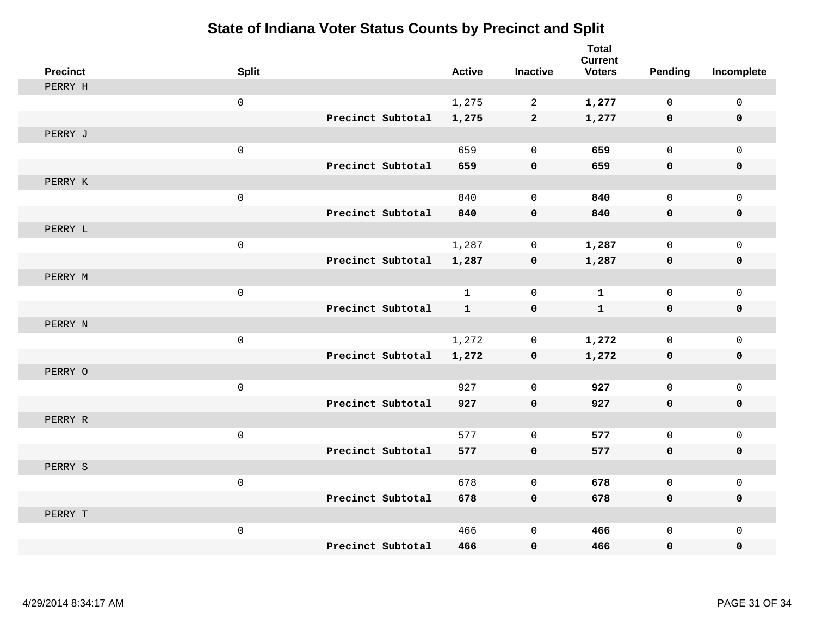| <b>Precinct</b> | <b>Split</b>        |                   | <b>Active</b> | <b>Inactive</b> | <b>Total</b><br><b>Current</b><br><b>Voters</b> | <b>Pending</b> | Incomplete   |
|-----------------|---------------------|-------------------|---------------|-----------------|-------------------------------------------------|----------------|--------------|
| PERRY H         |                     |                   |               |                 |                                                 |                |              |
|                 | $\mathsf{O}\xspace$ |                   | 1,275         | 2               | 1,277                                           | $\mathbf 0$    | $\mathsf{O}$ |
|                 |                     | Precinct Subtotal | 1,275         | $\overline{a}$  | 1,277                                           | $\mathbf 0$    | 0            |
| PERRY J         |                     |                   |               |                 |                                                 |                |              |
|                 | $\mathsf{O}\xspace$ |                   | 659           | $\mathbf 0$     | 659                                             | $\mathbf 0$    | $\mathbf{0}$ |
|                 |                     | Precinct Subtotal | 659           | $\mathbf 0$     | 659                                             | 0              | 0            |
| PERRY K         |                     |                   |               |                 |                                                 |                |              |
|                 | $\mathsf 0$         |                   | 840           | $\Omega$        | 840                                             | $\Omega$       | $\mathsf{O}$ |
|                 |                     | Precinct Subtotal | 840           | $\mathbf 0$     | 840                                             | 0              | 0            |
| PERRY L         |                     |                   |               |                 |                                                 |                |              |
|                 | $\mathsf{O}\xspace$ |                   | 1,287         | 0               | 1,287                                           | $\mathbf 0$    | $\mathsf{O}$ |
|                 |                     | Precinct Subtotal | 1,287         | 0               | 1,287                                           | 0              | 0            |
| PERRY M         |                     |                   |               |                 |                                                 |                |              |
|                 | $\mathsf{O}\xspace$ |                   | $\mathbf{1}$  | $\mathbf 0$     | $\mathbf{1}$                                    | $\mathbf 0$    | $\mathbf 0$  |
|                 |                     | Precinct Subtotal | $\mathbf{1}$  | $\mathbf 0$     | $\mathbf{1}$                                    | 0              | 0            |
| PERRY N         |                     |                   |               |                 |                                                 |                |              |
|                 | $\mathbf 0$         |                   | 1,272         | $\mathbf 0$     | 1,272                                           | $\mathbf 0$    | $\mathsf{O}$ |
|                 |                     | Precinct Subtotal | 1,272         | $\mathbf 0$     | 1,272                                           | 0              | 0            |
| PERRY O         |                     |                   |               |                 |                                                 |                |              |
|                 | $\mathsf 0$         |                   | 927           | $\mathbf 0$     | 927                                             | $\mathbf 0$    | $\mathsf{O}$ |
|                 |                     | Precinct Subtotal | 927           | $\mathbf 0$     | 927                                             | 0              | $\mathbf 0$  |
| PERRY R         |                     |                   |               |                 |                                                 |                |              |
|                 | $\mathsf{O}\xspace$ |                   | 577           | $\mathbf 0$     | 577                                             | $\mathbf 0$    | $\mathbf 0$  |
|                 |                     | Precinct Subtotal | 577           | $\mathbf 0$     | 577                                             | 0              | 0            |
| PERRY S         |                     |                   |               |                 |                                                 |                |              |
|                 | $\mathbf 0$         |                   | 678           | $\mathbf 0$     | 678                                             | $\mathbf 0$    | $\mathbf 0$  |
|                 |                     | Precinct Subtotal | 678           | $\mathbf 0$     | 678                                             | 0              | 0            |
| PERRY T         |                     |                   |               |                 |                                                 |                |              |
|                 | $\mathsf 0$         |                   | 466           | $\mathbf 0$     | 466                                             | $\mathbf 0$    | $\mathbf 0$  |
|                 |                     | Precinct Subtotal | 466           | $\mathbf 0$     | 466                                             | 0              | $\mathbf 0$  |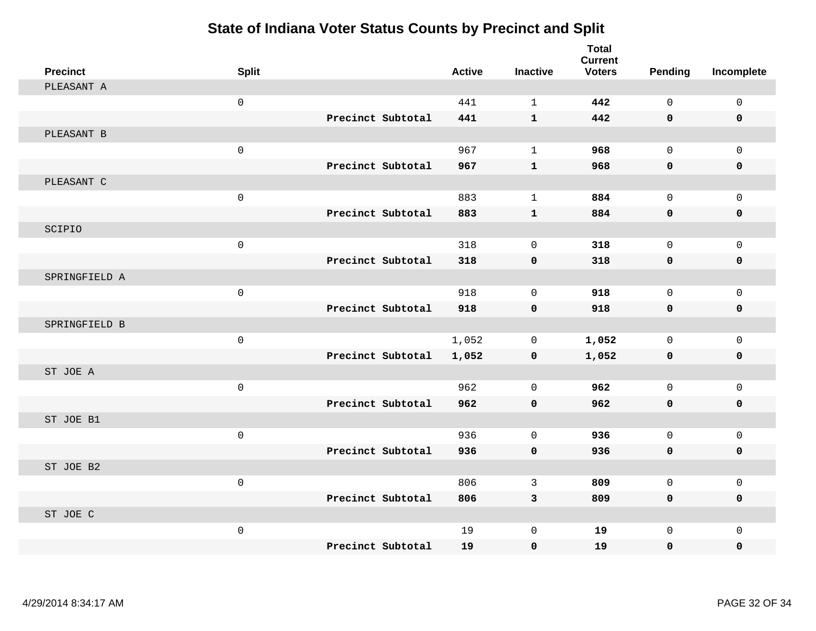| <b>Precinct</b> | <b>Split</b>        |                   | <b>Active</b> | <b>Inactive</b> | <b>Total</b><br><b>Current</b><br><b>Voters</b> | Pending      | Incomplete   |
|-----------------|---------------------|-------------------|---------------|-----------------|-------------------------------------------------|--------------|--------------|
| PLEASANT A      |                     |                   |               |                 |                                                 |              |              |
|                 | $\mathsf{O}\xspace$ |                   | 441           | $\mathbf{1}$    | 442                                             | $\Omega$     | $\mathsf 0$  |
|                 |                     | Precinct Subtotal | 441           | $\mathbf{1}$    | 442                                             | $\mathbf 0$  | $\mathbf 0$  |
| PLEASANT B      |                     |                   |               |                 |                                                 |              |              |
|                 | $\mathsf{O}\xspace$ |                   | 967           | $\mathbf{1}$    | 968                                             | $\mathbf 0$  | $\mathbf{0}$ |
|                 |                     | Precinct Subtotal | 967           | $\mathbf{1}$    | 968                                             | $\mathbf 0$  | 0            |
| PLEASANT C      |                     |                   |               |                 |                                                 |              |              |
|                 | $\mathsf{O}\xspace$ |                   | 883           | $\mathbf{1}$    | 884                                             | $\mathbf 0$  | $\mathbf 0$  |
|                 |                     | Precinct Subtotal | 883           | $\mathbf{1}$    | 884                                             | $\mathbf 0$  | $\mathbf 0$  |
| SCIPIO          |                     |                   |               |                 |                                                 |              |              |
|                 | $\mathsf{O}\xspace$ |                   | 318           | $\mathbf 0$     | 318                                             | $\mathbf{0}$ | $\mathbf{0}$ |
|                 |                     | Precinct Subtotal | 318           | $\mathbf 0$     | 318                                             | $\mathbf 0$  | 0            |
| SPRINGFIELD A   |                     |                   |               |                 |                                                 |              |              |
|                 | $\mathsf{O}\xspace$ |                   | 918           | $\mathbf 0$     | 918                                             | $\mathbf 0$  | $\mathbf 0$  |
|                 |                     | Precinct Subtotal | 918           | $\mathbf 0$     | 918                                             | $\mathbf 0$  | 0            |
| SPRINGFIELD B   |                     |                   |               |                 |                                                 |              |              |
|                 | $\mathbf 0$         |                   | 1,052         | $\mathbf 0$     | 1,052                                           | $\mathbf 0$  | $\mathbf 0$  |
|                 |                     | Precinct Subtotal | 1,052         | $\mathbf 0$     | 1,052                                           | 0            | 0            |
| ST JOE A        |                     |                   |               |                 |                                                 |              |              |
|                 | $\mathsf{O}\xspace$ |                   | 962           | $\mathbf 0$     | 962                                             | $\mathbf 0$  | $\mathsf 0$  |
|                 |                     | Precinct Subtotal | 962           | $\mathbf 0$     | 962                                             | 0            | 0            |
| ST JOE B1       |                     |                   |               |                 |                                                 |              |              |
|                 | $\mathsf{O}\xspace$ |                   | 936           | $\mathbf 0$     | 936                                             | $\mathbf 0$  | $\mathbf{0}$ |
|                 |                     | Precinct Subtotal | 936           | $\mathbf 0$     | 936                                             | 0            | 0            |
| ST JOE B2       |                     |                   |               |                 |                                                 |              |              |
|                 | $\mathbf 0$         |                   | 806           | 3               | 809                                             | $\mathbf 0$  | $\mathbf 0$  |
|                 |                     | Precinct Subtotal | 806           | $\overline{3}$  | 809                                             | 0            | 0            |
| ST JOE C        |                     |                   |               |                 |                                                 |              |              |
|                 | $\mathsf{O}\xspace$ |                   | 19            | $\mathbf 0$     | 19                                              | $\mathbf 0$  | $\mathbf{0}$ |
|                 |                     | Precinct Subtotal | 19            | 0               | 19                                              | 0            | 0            |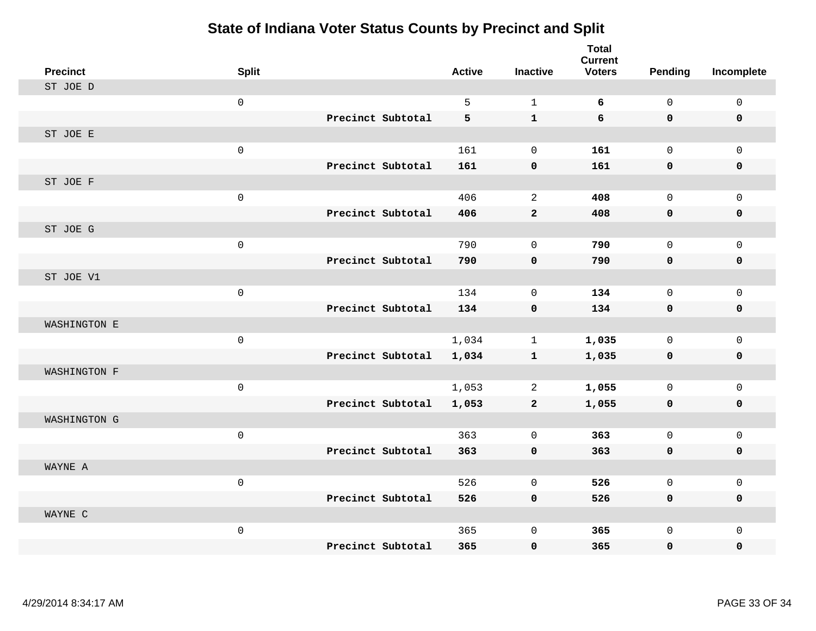| <b>Precinct</b> | <b>Split</b>        |                   | <b>Active</b> | <b>Inactive</b>     | <b>Total</b><br><b>Current</b><br><b>Voters</b> | <b>Pending</b> | Incomplete   |
|-----------------|---------------------|-------------------|---------------|---------------------|-------------------------------------------------|----------------|--------------|
| ST JOE D        |                     |                   |               |                     |                                                 |                |              |
|                 | $\mathsf{O}\xspace$ |                   | 5             | $\mathbf{1}$        | 6                                               | $\mathbf 0$    | $\mathsf{O}$ |
|                 |                     | Precinct Subtotal | 5             | $\mathbf{1}$        | 6                                               | 0              | 0            |
| ST JOE E        |                     |                   |               |                     |                                                 |                |              |
|                 | $\mathbf 0$         |                   | 161           | $\mathbf 0$         | 161                                             | $\mathbf 0$    | $\mathbf 0$  |
|                 |                     | Precinct Subtotal | 161           | $\mathbf 0$         | 161                                             | 0              | 0            |
| ST JOE F        |                     |                   |               |                     |                                                 |                |              |
|                 | $\mathsf 0$         |                   | 406           | 2                   | 408                                             | $\mathbf{0}$   | $\mathbf 0$  |
|                 |                     | Precinct Subtotal | 406           | $\mathbf{2}$        | 408                                             | 0              | 0            |
| ST JOE G        |                     |                   |               |                     |                                                 |                |              |
|                 | $\mathsf 0$         |                   | 790           | $\mathsf{O}\xspace$ | 790                                             | $\Omega$       | $\mathsf{O}$ |
|                 |                     | Precinct Subtotal | 790           | $\pmb{0}$           | 790                                             | 0              | $\pmb{0}$    |
| ST JOE V1       |                     |                   |               |                     |                                                 |                |              |
|                 | $\mathsf 0$         |                   | 134           | $\mathbf 0$         | 134                                             | $\mathbf 0$    | $\mathbf 0$  |
|                 |                     | Precinct Subtotal | 134           | $\mathbf 0$         | 134                                             | 0              | 0            |
| WASHINGTON E    |                     |                   |               |                     |                                                 |                |              |
|                 | $\mathsf{O}\xspace$ |                   | 1,034         | $\mathbf{1}$        | 1,035                                           | $\mathbf 0$    | $\mathsf{O}$ |
|                 |                     | Precinct Subtotal | 1,034         | $\mathbf{1}$        | 1,035                                           | 0              | 0            |
| WASHINGTON F    |                     |                   |               |                     |                                                 |                |              |
|                 | $\mathsf{O}\xspace$ |                   | 1,053         | $\overline{2}$      | 1,055                                           | $\mathbf 0$    | $\mathbf 0$  |
|                 |                     | Precinct Subtotal | 1,053         | $\overline{a}$      | 1,055                                           | 0              | 0            |
| WASHINGTON G    |                     |                   |               |                     |                                                 |                |              |
|                 | $\mathsf{O}\xspace$ |                   | 363           | 0                   | 363                                             | $\Omega$       | $\mathsf{O}$ |
|                 |                     | Precinct Subtotal | 363           | $\mathbf 0$         | 363                                             | 0              | 0            |
| WAYNE A         |                     |                   |               |                     |                                                 |                |              |
|                 | $\mathsf 0$         |                   | 526           | $\mathbf 0$         | 526                                             | $\mathbf 0$    | $\mathsf{O}$ |
|                 |                     | Precinct Subtotal | 526           | $\mathbf 0$         | 526                                             | 0              | 0            |
| WAYNE C         |                     |                   |               |                     |                                                 |                |              |
|                 | $\mathbf 0$         |                   | 365           | $\mathbf 0$         | 365                                             | 0              | $\mathbf 0$  |
|                 |                     | Precinct Subtotal | 365           | $\mathbf 0$         | 365                                             | 0              | $\mathbf 0$  |